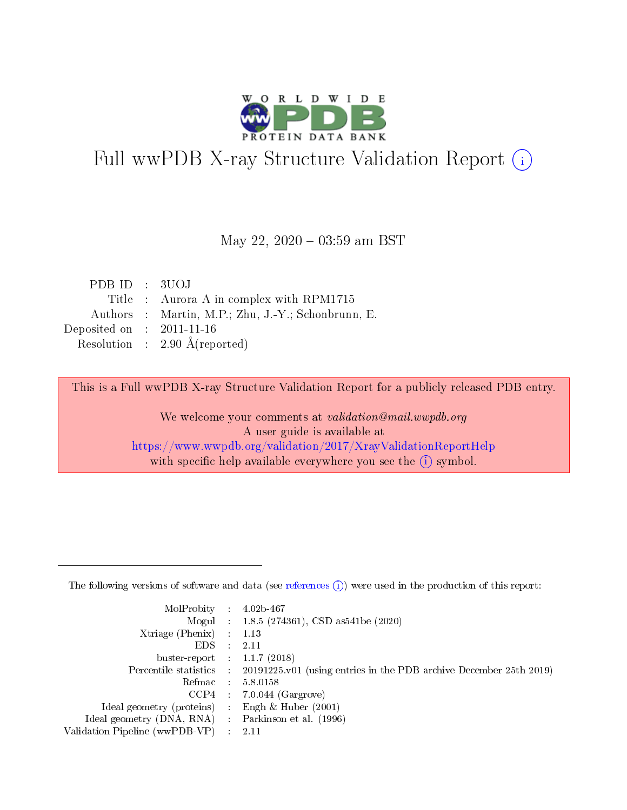

# Full wwPDB X-ray Structure Validation Report (i)

#### May 22,  $2020 - 03:59$  am BST

| PDB ID : 3UOJ               |                                                    |
|-----------------------------|----------------------------------------------------|
|                             | Title : Aurora A in complex with RPM1715           |
|                             | Authors : Martin, M.P.; Zhu, J.-Y.; Schonbrunn, E. |
| Deposited on : $2011-11-16$ |                                                    |
|                             | Resolution : $2.90 \text{ Å}$ (reported)           |

This is a Full wwPDB X-ray Structure Validation Report for a publicly released PDB entry.

We welcome your comments at validation@mail.wwpdb.org A user guide is available at <https://www.wwpdb.org/validation/2017/XrayValidationReportHelp> with specific help available everywhere you see the  $(i)$  symbol.

The following versions of software and data (see [references](https://www.wwpdb.org/validation/2017/XrayValidationReportHelp#references)  $(1)$ ) were used in the production of this report:

| MolProbity : 4.02b-467         |     |                                                                                            |
|--------------------------------|-----|--------------------------------------------------------------------------------------------|
|                                |     | Mogul : $1.8.5$ (274361), CSD as 541be (2020)                                              |
| $X$ triage (Phenix) :          |     | 1.13                                                                                       |
| EDS.                           |     | 2.11                                                                                       |
| buster-report : $1.1.7$ (2018) |     |                                                                                            |
|                                |     | Percentile statistics : 20191225.v01 (using entries in the PDB archive December 25th 2019) |
| Refmac                         |     | 5.8.0158                                                                                   |
| CCP4                           |     | $7.0.044$ (Gargrove)                                                                       |
| Ideal geometry (proteins) :    |     | Engh $\&$ Huber (2001)                                                                     |
| Ideal geometry (DNA, RNA) :    |     | Parkinson et al. (1996)                                                                    |
| Validation Pipeline (wwPDB-VP) | -11 | -2.11                                                                                      |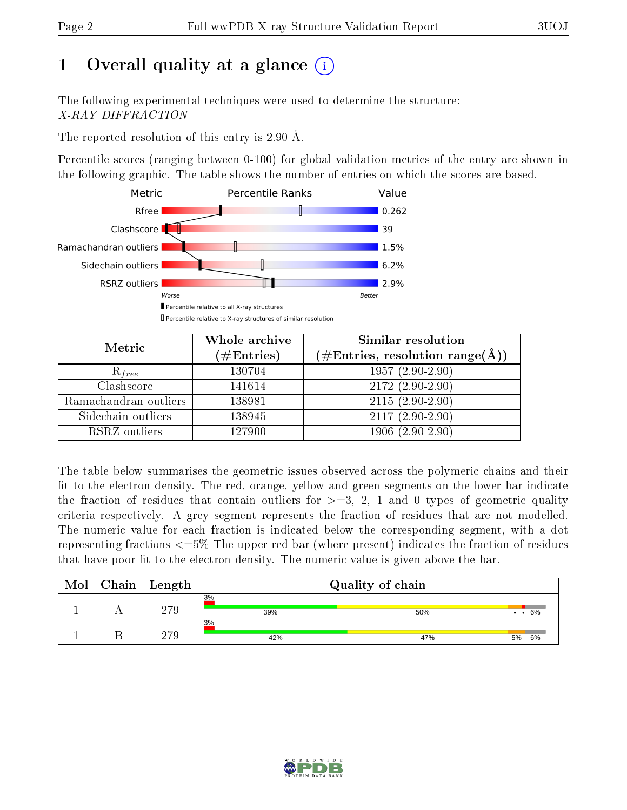# 1 [O](https://www.wwpdb.org/validation/2017/XrayValidationReportHelp#overall_quality)verall quality at a glance  $(i)$

The following experimental techniques were used to determine the structure: X-RAY DIFFRACTION

The reported resolution of this entry is 2.90 Å.

Percentile scores (ranging between 0-100) for global validation metrics of the entry are shown in the following graphic. The table shows the number of entries on which the scores are based.



| Metric                | Whole archive<br>$(\#\mathrm{Entries})$ | Similar resolution<br>$(\#\text{Entries},\,\text{resolution}\,\,\text{range}(\textup{\AA}))$ |
|-----------------------|-----------------------------------------|----------------------------------------------------------------------------------------------|
| $R_{free}$            | 130704                                  | $1957(2.90-2.90)$                                                                            |
| Clashscore            | 141614                                  | $2172(2.90-2.90)$                                                                            |
| Ramachandran outliers | 138981                                  | $2115(2.90-2.90)$                                                                            |
| Sidechain outliers    | 138945                                  | $2117(2.90-2.90)$                                                                            |
| RSRZ outliers         | 127900                                  | $1906(2.90-2.90)$                                                                            |

The table below summarises the geometric issues observed across the polymeric chains and their fit to the electron density. The red, orange, yellow and green segments on the lower bar indicate the fraction of residues that contain outliers for  $>=3, 2, 1$  and 0 types of geometric quality criteria respectively. A grey segment represents the fraction of residues that are not modelled. The numeric value for each fraction is indicated below the corresponding segment, with a dot representing fractions <=5% The upper red bar (where present) indicates the fraction of residues that have poor fit to the electron density. The numeric value is given above the bar.

| Mol | Chain | Length | Quality of chain |     |                    |  |
|-----|-------|--------|------------------|-----|--------------------|--|
|     |       | 279    | 3%<br>39%        | 50% | $\cdot$ $\cdot$ 6% |  |
|     |       | 970    | 3%<br>42%        | 47% | 6%<br>5%           |  |

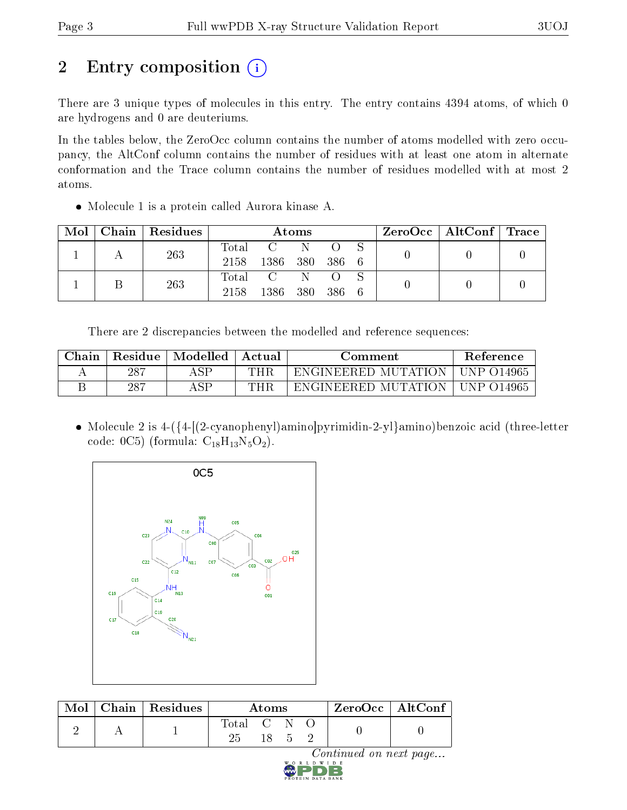# 2 Entry composition (i)

There are 3 unique types of molecules in this entry. The entry contains 4394 atoms, of which 0 are hydrogens and 0 are deuteriums.

In the tables below, the ZeroOcc column contains the number of atoms modelled with zero occupancy, the AltConf column contains the number of residues with at least one atom in alternate conformation and the Trace column contains the number of residues modelled with at most 2 atoms.

Molecule 1 is a protein called Aurora kinase A.

| Mol | Chain   Residues | Atoms |                |           |  | $\rm ZeroOcc$   AltConf   Trace |  |  |
|-----|------------------|-------|----------------|-----------|--|---------------------------------|--|--|
|     | 263              | Total |                |           |  |                                 |  |  |
|     |                  | 2158  | 1386 380 386 6 |           |  |                                 |  |  |
|     | 263              |       | Total C        |           |  |                                 |  |  |
|     |                  | 2158  | 1386           | 380 386 6 |  |                                 |  |  |

There are 2 discrepancies between the modelled and reference sequences:

| Chain | Residue | Modelled | Actual | Comment             | <b>Reference</b> |
|-------|---------|----------|--------|---------------------|------------------|
|       | 287     | ASP      | THR    | ENGINEERED MUTATION | - UNP 014965     |
|       | 287     | A S D    | THR    | ENGINEERED MUTATION | - UNP-014965     |

• Molecule 2 is 4-({4-[(2-cyanophenyl)amino]pyrimidin-2-yl}amino)benzoic acid (three-letter code:  $0C5$ ) (formula:  $C_{18}H_{13}N_5O_2$ ).



| Mol | $\mid$ Chain $\mid$ Residues | Atoms     |  |  | $ZeroOcc \mid AltConf$ |  |
|-----|------------------------------|-----------|--|--|------------------------|--|
|     |                              | Total C N |  |  |                        |  |

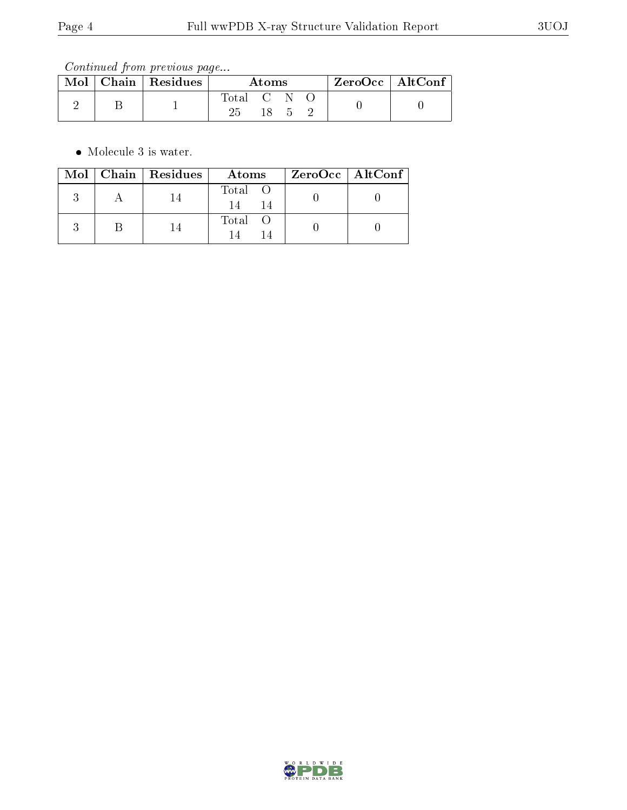Continued from previous page...

|  | Mol   Chain   Residues | Atoms     |     |  | $ZeroOcc$   AltConf |  |
|--|------------------------|-----------|-----|--|---------------------|--|
|  |                        | Total C N |     |  |                     |  |
|  |                        | 25.       | -18 |  |                     |  |

• Molecule 3 is water.

|  | $\text{Mol}$   Chain   Residues | Atoms   | ZeroOcc   AltConf |
|--|---------------------------------|---------|-------------------|
|  |                                 | Total O |                   |
|  |                                 | Total O |                   |

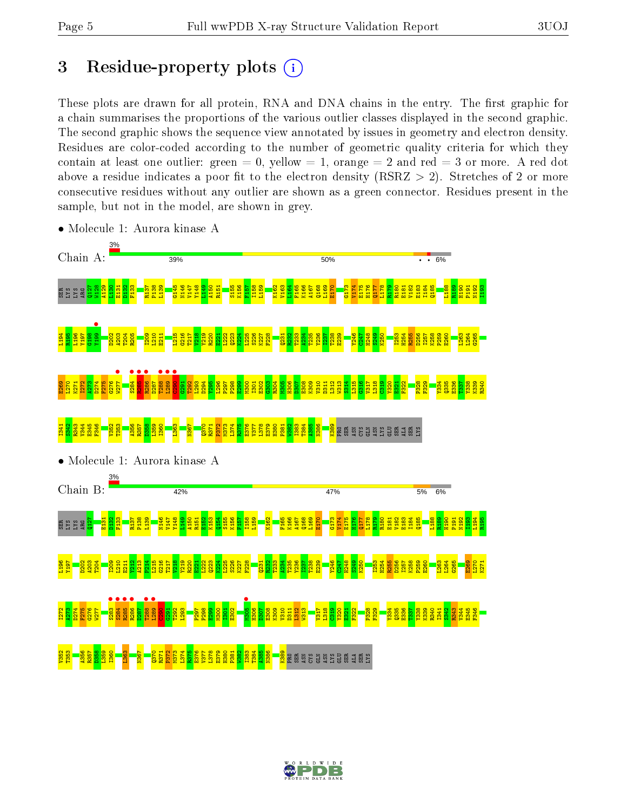# 3 Residue-property plots  $(i)$

These plots are drawn for all protein, RNA and DNA chains in the entry. The first graphic for a chain summarises the proportions of the various outlier classes displayed in the second graphic. The second graphic shows the sequence view annotated by issues in geometry and electron density. Residues are color-coded according to the number of geometric quality criteria for which they contain at least one outlier: green  $= 0$ , yellow  $= 1$ , orange  $= 2$  and red  $= 3$  or more. A red dot above a residue indicates a poor fit to the electron density (RSRZ  $> 2$ ). Stretches of 2 or more consecutive residues without any outlier are shown as a green connector. Residues present in the sample, but not in the model, are shown in grey.



• Molecule 1: Aurora kinase A

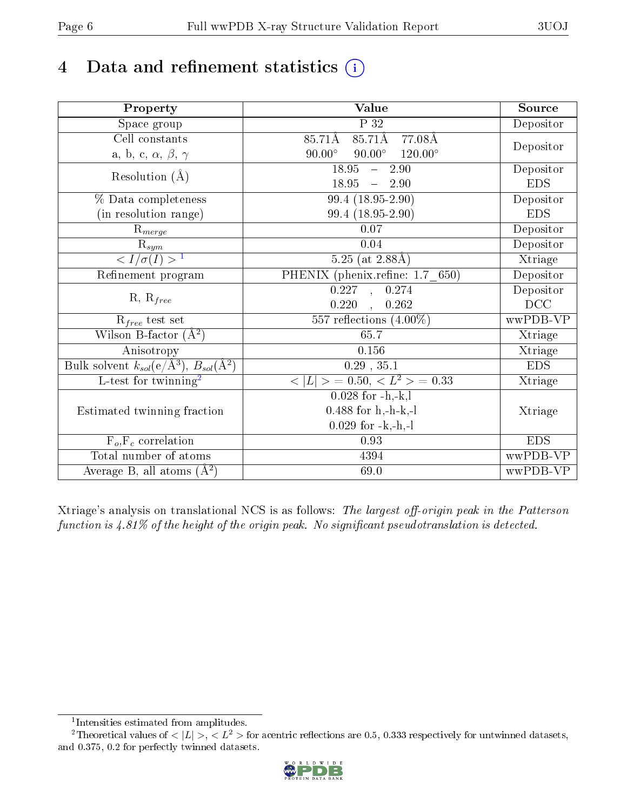# 4 Data and refinement statistics  $(i)$

| Property                                                         | <b>Value</b>                                     | Source     |  |
|------------------------------------------------------------------|--------------------------------------------------|------------|--|
| Space group                                                      | $\overline{P}32$                                 | Depositor  |  |
| $\overline{\text{Cell}}$ constants                               | $85.71\text{\AA}$<br>85.71Å<br>77.08Å            |            |  |
| a, b, c, $\alpha$ , $\beta$ , $\gamma$                           | $90.00^\circ$<br>$90.00^\circ$<br>$120.00^\circ$ | Depositor  |  |
| Resolution $(A)$                                                 | 18.95<br>$-2.90$                                 | Depositor  |  |
|                                                                  | 18.95<br>$\frac{1}{2}$<br>2.90                   | <b>EDS</b> |  |
| % Data completeness                                              | $99.4(18.95-2.90)$                               | Depositor  |  |
| (in resolution range)                                            | 99.4 (18.95-2.90)                                | <b>EDS</b> |  |
| $R_{merge}$                                                      | $0.07\,$                                         | Depositor  |  |
| $\mathbf{R}_{sym}$                                               | 0.04                                             | Depositor  |  |
| $\langle I/\sigma(I) \rangle^{-1}$                               | $5.25$ (at 2.88Å)                                | Xtriage    |  |
| Refinement program                                               | PHENIX (phenix.refine: 1.7_650)                  | Depositor  |  |
| $R, R_{free}$                                                    | $\overline{0.227}$ , $\overline{0.274}$          | Depositor  |  |
|                                                                  | $0.220$ , $0.262$                                | DCC        |  |
| $R_{free}$ test set                                              | 557 reflections $(4.00\%)$                       | wwPDB-VP   |  |
| Wilson B-factor $(A^2)$                                          | 65.7                                             | Xtriage    |  |
| Anisotropy                                                       | 0.156                                            | Xtriage    |  |
| Bulk solvent $k_{sol}(\text{e}/\text{A}^3), B_{sol}(\text{A}^2)$ | $0.29$ , $35.1$                                  | <b>EDS</b> |  |
| L-test for twinning <sup>2</sup>                                 | $< L >$ = 0.50, $< L2$ > = 0.33                  | Xtriage    |  |
|                                                                  | $0.028$ for $-h,-k,l$                            |            |  |
| Estimated twinning fraction                                      | $0.488$ for h,-h-k,-l                            | Xtriage    |  |
|                                                                  | $0.029$ for $-k,-h,-l$                           |            |  |
| $\overline{F_o,F_c}$ correlation                                 | 0.93                                             | <b>EDS</b> |  |
| Total number of atoms                                            | 4394                                             | wwPDB-VP   |  |
| Average B, all atoms $(A^2)$                                     | 69.0                                             | wwPDB-VP   |  |

Xtriage's analysis on translational NCS is as follows: The largest off-origin peak in the Patterson function is  $4.81\%$  of the height of the origin peak. No significant pseudotranslation is detected.

<sup>&</sup>lt;sup>2</sup>Theoretical values of  $\langle |L| \rangle$ ,  $\langle L^2 \rangle$  for acentric reflections are 0.5, 0.333 respectively for untwinned datasets, and 0.375, 0.2 for perfectly twinned datasets.



<span id="page-5-1"></span><span id="page-5-0"></span><sup>1</sup> Intensities estimated from amplitudes.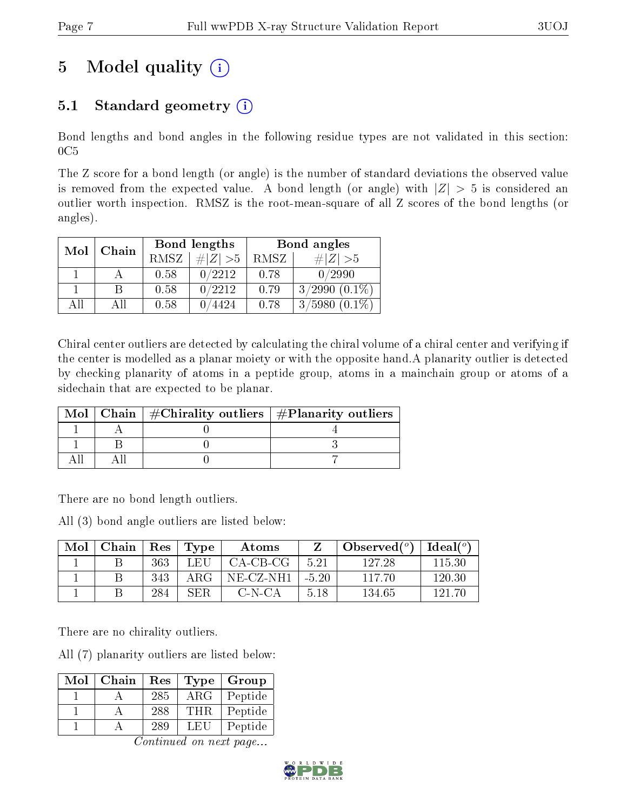# 5 Model quality  $(i)$

# 5.1 Standard geometry  $(i)$

Bond lengths and bond angles in the following residue types are not validated in this section:  $0C5$ 

The Z score for a bond length (or angle) is the number of standard deviations the observed value is removed from the expected value. A bond length (or angle) with  $|Z| > 5$  is considered an outlier worth inspection. RMSZ is the root-mean-square of all Z scores of the bond lengths (or angles).

| Mol | Chain |      | Bond lengths | Bond angles |                     |  |
|-----|-------|------|--------------|-------------|---------------------|--|
|     |       | RMSZ | # $ Z  > 5$  | RMSZ        | $\# Z  > 5$         |  |
|     |       | 0.58 | 0/2212       | 0.78        | 0/2990              |  |
|     | В     | 0.58 | 0/2212       | 0.79        | $3/2990$ $(0.1\%)$  |  |
| AH  | ΑH    | 0.58 | 4424         | 0.78        | $(0.1\%)$<br>3/5980 |  |

Chiral center outliers are detected by calculating the chiral volume of a chiral center and verifying if the center is modelled as a planar moiety or with the opposite hand.A planarity outlier is detected by checking planarity of atoms in a peptide group, atoms in a mainchain group or atoms of a sidechain that are expected to be planar.

|  | Mol   Chain   $\#\text{Chirality outliers}$   $\#\text{Planarity outliers}$ |
|--|-----------------------------------------------------------------------------|
|  |                                                                             |
|  |                                                                             |
|  |                                                                             |

There are no bond length outliers.

All (3) bond angle outliers are listed below:

| Mol | Chain | Res | $\Gamma$ Type | Atoms      |         | Observed $(°)$ | $Ideal(^o)$ |
|-----|-------|-----|---------------|------------|---------|----------------|-------------|
|     |       | 363 | L EH          | $CA-CB-CG$ | 5.21    | 127.28         | 115.30      |
|     |       | 343 | ARG-          | NE-CZ-NH1- | $-5.20$ | 117.70         | 120.30      |
|     |       | 284 | <b>SER</b>    | C-N-CA     | 518     | 134.65         | 191 70      |

There are no chirality outliers.

All (7) planarity outliers are listed below:

| Mol | Chain | Res | <b>Type</b> | Group   |
|-----|-------|-----|-------------|---------|
|     |       | 285 | ARG         | Peptide |
|     |       | 288 | <b>THR</b>  | Peptide |
|     |       | 289 | LEU         | Peptide |

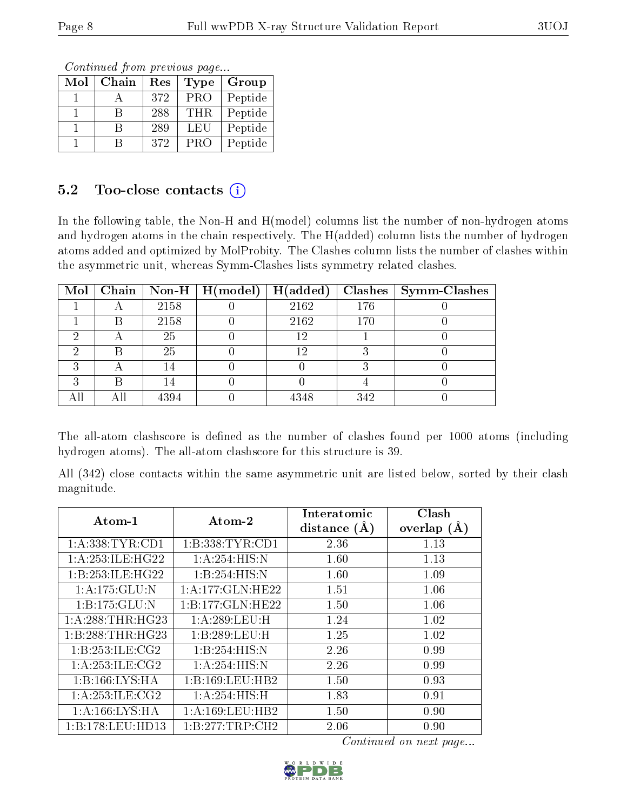Continued from previous page...

| Mol | Chain | Res | Type       | Group   |
|-----|-------|-----|------------|---------|
|     |       | 372 | <b>PRO</b> | Peptide |
|     | B     | 288 | THR.       | Peptide |
|     | R     | 289 | LEU        | Peptide |
|     |       | 372 | <b>PRO</b> | Peptide |

### 5.2 Too-close contacts  $(i)$

In the following table, the Non-H and H(model) columns list the number of non-hydrogen atoms and hydrogen atoms in the chain respectively. The H(added) column lists the number of hydrogen atoms added and optimized by MolProbity. The Clashes column lists the number of clashes within the asymmetric unit, whereas Symm-Clashes lists symmetry related clashes.

|   |     |      | $\boxed{\text{Mol}$ Chain   Non-H   H(model) | H(added) |     | $Clashes$   Symm-Clashes |
|---|-----|------|----------------------------------------------|----------|-----|--------------------------|
|   |     | 2158 |                                              | 2162     | 176 |                          |
|   |     | 2158 |                                              | 2162     | 170 |                          |
| ച |     | 25   |                                              | 12       |     |                          |
|   |     | 25   |                                              | 12       |     |                          |
|   |     | 14   |                                              |          |     |                          |
| ച | R   | 14   |                                              |          |     |                          |
|   | Αll | 4394 |                                              | 4348     | 342 |                          |

The all-atom clashscore is defined as the number of clashes found per 1000 atoms (including hydrogen atoms). The all-atom clashscore for this structure is 39.

All (342) close contacts within the same asymmetric unit are listed below, sorted by their clash magnitude.

| Atom-1               | Atom-2              | Interatomic    | Clash         |
|----------------------|---------------------|----------------|---------------|
|                      |                     | distance $(A)$ | overlap $(A)$ |
| 1: A: 338: TYR: CD1  | 1:B:338:TYR:CD1     | 2.36           | 1.13          |
| 1: A: 253: ILE: HG22 | 1: A:254: HIS:N     | 1.60           | 1.13          |
| 1:B:253:ILE:HG22     | 1:B:254:HIS:N       | 1.60           | 1.09          |
| 1:A:175:GLU:N        | 1: A:177: GLN: HE22 | 1.51           | 1.06          |
| 1:B:175:GLU:N        | 1:B:177:GLN:HE22    | 1.50           | 1.06          |
| 1: A:288:THR:HG23    | 1:A:289:LEU:H       | 1.24           | 1.02          |
| 1:B:288:THR:HG23     | 1:B:289:LEU:H       | 1.25           | 1.02          |
| 1:B:253:ILE:CG2      | 1:B:254:HIS:N       | 2.26           | 0.99          |
| 1: A:253: ILE: CG2   | 1: A:254: HIS:N     | 2.26           | 0.99          |
| 1:B:166:LYS:HA       | 1:B:169:LEU:HB2     | 1.50           | 0.93          |
| 1: A:253: ILE: CG2   | 1: A:254: HIS:H     | 1.83           | 0.91          |
| 1: A:166: LYS: HA    | 1: A: 169: LEU: HB2 | 1.50           | 0.90          |
| 1:B:178:LEU:HD13     | 1: B: 277: TRP: CH2 | 2.06           | 0.90          |

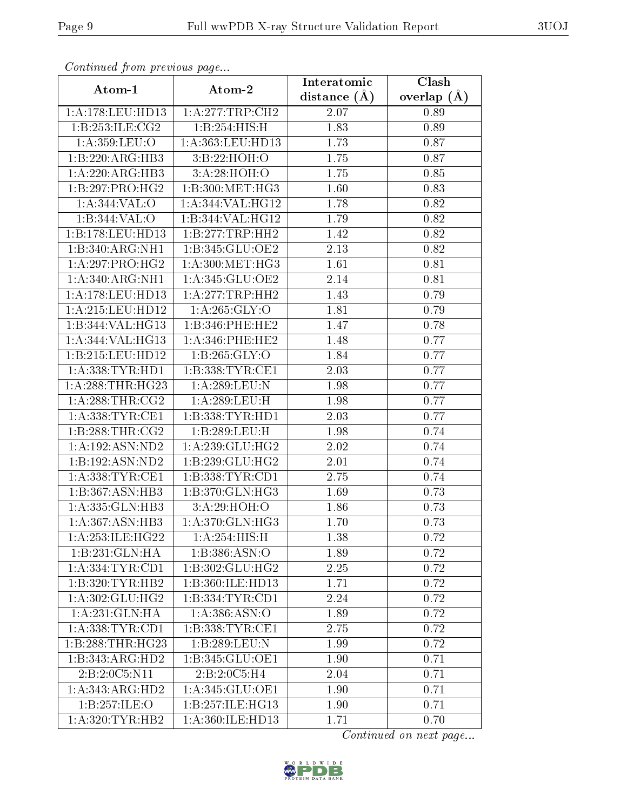| Commaca jibin previous page  |                                | Interatomic      | Clash         |
|------------------------------|--------------------------------|------------------|---------------|
| Atom-1                       | Atom-2                         | distance $(\AA)$ | overlap $(A)$ |
| 1:A:178:LEU:HD13             | 1:A:277:TRP:CH2                | 2.07             | 0.89          |
| 1:B:253:ILE:CG2              | 1:B:254:HIS:H                  | 1.83             | 0.89          |
| 1: A:359:LEU:O               | 1:A:363:LEU:HD13               | 1.73             | 0.87          |
| 1:B:220:ARG:HB3              | 3:B:22:HOH:O                   | 1.75             | 0.87          |
| 1:A:220:ARG:HB3              | 3:A:28:HOH:O                   | 1.75             | 0.85          |
| 1:B:297:PRO:HG2              | 1:B:300:MET:HG3                | 1.60             | 0.83          |
| 1:A:344:VAL:O                | 1:A:344:VAL:HG12               | 1.78             | 0.82          |
| 1:B:344:VAL:O                | 1:B:344:VAL:HG12               | 1.79             | 0.82          |
| 1:B:178:LEU:HD13             | 1:B:277:TRP:HH2                | 1.42             | 0.82          |
| 1:B:340:ARG:NH1              | 1:B:345:GLU:OE2                | 2.13             | 0.82          |
| 1:A:297:PRO:HG2              | $1: A:300:MET: \overline{HG3}$ | 1.61             | 0.81          |
| 1: A:340:ARG:NH1             | 1:A:345:GLU:OE2                | 2.14             | 0.81          |
| 1:A:178:LEU:HD13             | 1:A:277:TRP:HH2                | 1.43             | 0.79          |
| 1: A:215:LEU:HD12            | 1: A:265: GLY:O                | 1.81             | 0.79          |
| 1:B:344:VAL:HG13             | 1:B:346:PHE:HE2                | 1.47             | 0.78          |
| 1:A:344:VAL:HG13             | 1: A:346:PHE:HE2               | 1.48             | 0.77          |
| 1:B:215:LEU:HD12             | 1: B:265: GLY:O                | 1.84             | 0.77          |
| 1: A: 338: TYR: HD1          | 1: B: 338: TYR: CE1            | 2.03             | 0.77          |
| 1:A:288:THR:HG23             | 1:A:289:LEU:N                  | 1.98             | 0.77          |
| 1: A:288:THR:CG2             | 1:A:289:LEU:H                  | 1.98             | 0.77          |
| 1: A: 338: TYR: CE1          | 1:B:338:TYR:HD1                | 2.03             | 0.77          |
| 1: B: 288: THR: CG2          | 1:B:289:LEU:H                  | 1.98             | 0.74          |
| 1:A:192:ASN:ND2              | 1: A:239: GLU: HG2             | 2.02             | 0.74          |
| 1:B:192:ASN:ND2              | 1:B:239:GLU:HG2                | 2.01             | 0.74          |
| 1: A: 338: TYR: CE1          | 1: B: 338: TYR: CD1            | 2.75             | 0.74          |
| 1:B:367:ASN:HB3              | 1:B:370:GLN:HG3                | 1.69             | 0.73          |
| 1: A: 335: GLN: HB3          | 3:A:29:HOH:O                   | 1.86             | 0.73          |
| 1: A:367: ASN:HB3            | 1: A:370: GLN: HG3             | 1.70             | 0.73          |
| 1: A: 253: ILE: HG22         | 1: A:254: HIS:H                | 1.38             | 0.72          |
| 1:B:231:GLN:HA               | 1:B:386:ASN:O                  | 1.89             | 0.72          |
| 1: A: 334: TYR: CD1          | 1:B:302:GLU:HG2                | 2.25             | 0.72          |
| 1:B:320:TYR:HB2              | 1:B:360:ILE:HD13               | 1.71             | 0.72          |
| 1: A:302: GLU:HG2            | 1: B: 334: TYR: CD1            | 2.24             | 0.72          |
| 1:A:231:GLN:HA               | 1: A: 386: ASN:O               | 1.89             | 0.72          |
| 1: A: 338: TYR: CD1          | 1:B:338:TYR:CE1                | 2.75             | 0.72          |
| 1:B:288:THR:HG23             | 1:B:289:LEU:N                  | 1.99             | 0.72          |
| 1:B:343:ARG:HD2              | 1:B:345:GLU:OE1                | 1.90             | 0.71          |
| 2:B:2:0C5:N11                | 2:B:2:0C5:H4                   | 2.04             | 0.71          |
| $1:A:343:ARG:H\overline{D2}$ | 1: A:345: GLU:OE1              | 1.90             | 0.71          |
| 1:B:257:ILE:O                | 1:B:257:ILE:HG13               | 1.90             | 0.71          |
| 1: A:320: TYR: HB2           | 1:A:360:ILE:HD13               | 1.71             | 0.70          |

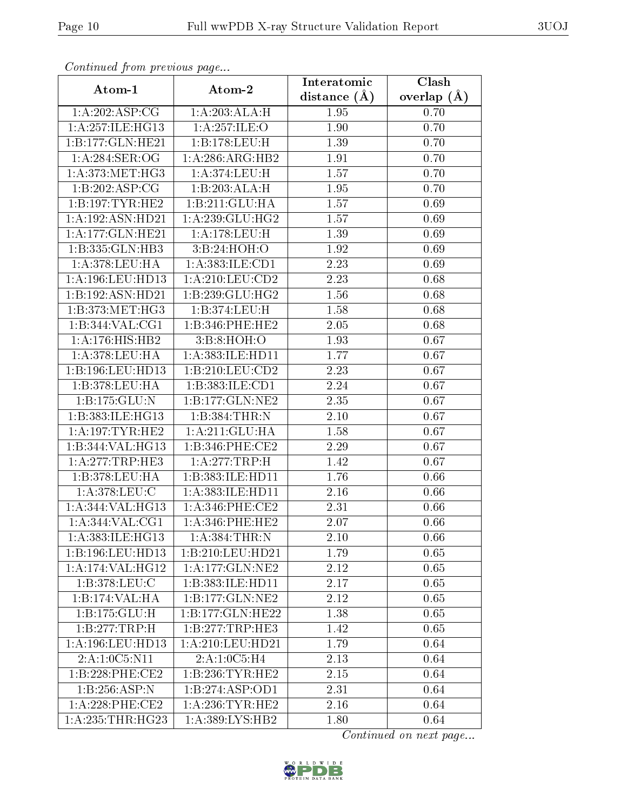| Continued from previous page |                     | Interatomic       | $\overline{\text{Cl}}$ ash |
|------------------------------|---------------------|-------------------|----------------------------|
| Atom-1                       | Atom-2              | distance $(\AA)$  | overlap $(\AA)$            |
| 1:A:202:ASP:CG               | 1:A:203:ALA:H       | 1.95              | 0.70                       |
| 1:A:257:ILE:HG13             | 1: A:257: ILE: O    | 1.90              | 0.70                       |
| 1:B:177:GLN:HE21             | 1:B:178:LEU:H       | 1.39              | 0.70                       |
| 1:A:284:SER:OG               | 1:A:286:ARG:HB2     | 1.91              | 0.70                       |
| 1: A:373:MET:HG3             | 1:A:374:LEU:H       | 1.57              | 0.70                       |
| 1:B:202:ASP:CG               | 1:B:203:ALA:H       | 1.95              | 0.70                       |
| 1:B:197:TYR:HE2              | 1:B:211:GLU:HA      | 1.57              | 0.69                       |
| 1:A:192:ASN:HD21             | 1: A:239: GLU:HG2   | $\overline{1.57}$ | 0.69                       |
| 1:A:177:GLN:HE21             | 1: A:178: LEU:H     | 1.39              | 0.69                       |
| 1:B:335:GLN:HB3              | 3:B:24:HOH:O        | 1.92              | 0.69                       |
| 1:A:378:LEU:HA               | 1:A:383:ILE:CD1     | 2.23              | 0.69                       |
| 1: A:196: LEU: HD13          | 1:A:210:LEU:CD2     | 2.23              | 0.68                       |
| 1:B:192:ASN:HD21             | 1:B:239:GLU:HG2     | 1.56              | 0.68                       |
| 1: B: 373:MET:HG3            | 1:B:374:LEU:H       | 1.58              | 0.68                       |
| 1:B:344:VAL:CG1              | 1:B:346:PHE:HE2     | 2.05              | 0.68                       |
| 1: A:176:HIS:HB2             | 3: B:8: HOH:O       | 1.93              | 0.67                       |
| 1: A:378:LEU:HA              | 1:A:383:ILE:HD11    | 1.77              | 0.67                       |
| 1:B:196:LEU:HD13             | 1:B:210:LEU:CD2     | 2.23              | 0.67                       |
| 1:B:378:LEU:HA               | 1:B:383:ILE:CD1     | 2.24              | 0.67                       |
| 1:B:175:GLU:N                | 1:B:177:GLN:NE2     | 2.35              | 0.67                       |
| 1:B:383:ILE:HG13             | 1:B:384:THR:N       | 2.10              | 0.67                       |
| $1:$ A:197:TYR:HE2           | 1:A:211:GLU:HA      | 1.58              | 0.67                       |
| 1:B:344:VAL:HG13             | 1:B:346:PHE:CE2     | 2.29              | 0.67                       |
| 1: A: 277: TRP: HE3          | 1:A:277:TRP:H       | 1.42              | 0.67                       |
| 1:B:378:LEU:HA               | 1:B:383:ILE:HD11    | 1.76              | 0.66                       |
| 1:A:378:LEU:C                | 1:A:383:ILE:HD11    | 2.16              | 0.66                       |
| 1:A:344:VAL:HG13             | $1: A:346:$ PHE:CE2 | 2.31              | 0.66                       |
| 1:A:344:VAL:CG1              | 1: A:346:PHE:HE2    | 2.07              | 0.66                       |
| 1:A:383:ILE:HG13             | 1:A:384:THR:N       | 2.10              | 0.66                       |
| 1:B:196:LEU:HD13             | 1:B:210:LEU:HD21    | 1.79              | 0.65                       |
| 1:A:174:VAL:HG12             | 1: A: 177: GLN: NE2 | 2.12              | 0.65                       |
| 1:B:378:LEU:C                | 1:B:383:ILE:HD11    | 2.17              | 0.65                       |
| 1:B:174:VAL:HA               | 1:B:177:GLN:NE2     | 2.12              | 0.65                       |
| 1: B: 175: GLU: H            | 1:B:177:GLN:HE22    | 1.38              | 0.65                       |
| 1:B:277:TRP:H                | 1:B:277:TRP:HE3     | 1.42              | 0.65                       |
| 1:A:196:LEU:HD13             | 1:A:210:LEU:HD21    | 1.79              | 0.64                       |
| 2: A: 1: 0C5: N11            | 2:A:1:0C5:H4        | 2.13              | 0.64                       |
| 1:B:228:PHE:CE2              | 1: B: 236: TYR: HE2 | 2.15              | 0.64                       |
| 1:B:256:ASP:N                | 1:B:274:ASP:OD1     | 2.31              | 0.64                       |
| $1: A:228:$ PHE:CE2          | 1: A:236:TYR:HE2    | 2.16              | 0.64                       |
| 1: A: 235: THR: HG23         | 1: A:389: LYS: HB2  | 1.80              | 0.64                       |

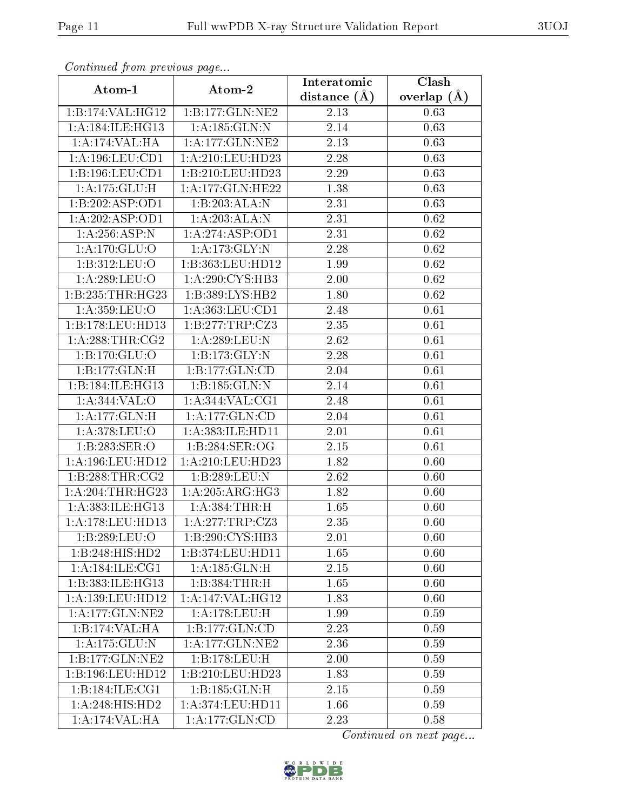| сонинией јтот ртеvноиз раде        |                      | Interatomic      | Clash             |
|------------------------------------|----------------------|------------------|-------------------|
| Atom-1                             | Atom-2               | distance $(\AA)$ | overlap $(\AA)$   |
| 1:B:174:VAL:HG12                   | 1:B:177:GLN:NE2      | 2.13             | 0.63              |
| 1:A:184:ILE:HG13                   | 1: A: 185: GLN:N     | 2.14             | 0.63              |
| 1:A:174:VAL:HA                     | $1:$ A:177:GLN:NE2   | 2.13             | 0.63              |
| 1:A:196:LEU:CD1                    | 1:A:210:LEU:HD23     | 2.28             | 0.63              |
| 1:B:196:LEU:CD1                    | 1:B:210:LEU:HD23     | 2.29             | 0.63              |
| 1:A:175:GLU:H                      | 1:A:177:GLN:HE22     | 1.38             | 0.63              |
| 1:B:202:ASP:OD1                    | 1:B:203:ALA:N        | 2.31             | 0.63              |
| 1:A:202:ASP:OD1                    | 1:A:203:ALA:N        | 2.31             | $\overline{0.62}$ |
| 1:A:256:ASP:N                      | 1: A:274: ASP:OD1    | 2.31             | 0.62              |
| 1:A:170:GLU:O                      | 1: A:173: GLY:N      | 2.28             | 0.62              |
| 1:B:312:LEU:O                      | 1:B:363:LEU:HD12     | 1.99             | 0.62              |
| 1:A:289:LEU:O                      | 1: A:290: CYS:HB3    | 2.00             | 0.62              |
| 1:B:235:THR:HG23                   | 1:B:389:LYS:HB2      | 1.80             | 0.62              |
| 1: A:359:LEU:O                     | 1:A:363:LEU:CD1      | 2.48             | 0.61              |
| 1:B:178:LEU:H <sub>D13</sub>       | 1:B:277:TRP:CZ3      | 2.35             | 0.61              |
| 1: A:288:THR:CG2                   | 1:A:289:LEU:N        | 2.62             | 0.61              |
| 1:B:170:GLU:O                      | 1:B:173:GLY:N        | 2.28             | 0.61              |
| 1:B:177:GLN:H                      | 1:B:177:GLN:CD       | 2.04             | 0.61              |
| 1:B:184:ILE:HG13                   | 1:B:185:GLN:N        | 2.14             | 0.61              |
| 1:A:344:VAL:O                      | 1: A:344: VAL: CG1   | 2.48             | 0.61              |
| 1: A: 177: GLN: H                  | 1:A:177:GLN:CD       | 2.04             | 0.61              |
| 1:A:378:LEU:O                      | 1: A: 383: ILE: HD11 | $2.01\,$         | 0.61              |
| 1:B:283:SER:O                      | 1:B:284:SER:OG       | 2.15             | 0.61              |
| 1:A:196:LEU:HD12                   | 1:A:210:LEU:HD23     | 1.82             | $\overline{0.60}$ |
| 1: B: 288: THR: CG2                | 1:B:289:LEU:N        | 2.62             | 0.60              |
| 1:A:204:THR:HG23                   | 1:A:205:ARG:HG3      | 1.82             | 0.60              |
| 1:A:383:ILE:HG13                   | 1: A: 384: THR:H     | 1.65             | 0.60              |
| 1:A:178:LEU:HD13                   | 1:A:277:TRP:CZ3      | 2.35             | 0.60              |
| 1:B:289:LEU:O                      | 1:B:290:CYS:HB3      | 2.01             | 0.60              |
| 1:B:248:HIS:HD2                    | 1:B:374:LEU:HD11     | 1.65             | 0.60              |
| 1:A:184:ILE:CG1                    | 1: A: 185: GLN: H    | 2.15             | 0.60              |
| 1:B:383:ILE:HG13                   | 1:B:384:THR:H        | 1.65             | 0.60              |
| 1: A: 139: LEU: HD12               | 1: A:147: VAL:HG12   | 1.83             | 0.60              |
| 1: A: 177: GLN: NE2                | 1:A:178:LEU:H        | 1.99             | 0.59              |
| 1:B:174:VAL:HA                     | 1:B:177:GLN:CD       | 2.23             | 0.59              |
| 1:A:175:GLU:N                      | 1: A: 177: GLN: NE2  | 2.36             | 0.59              |
| 1:B:177:GLN:NE2                    | 1:B:178:LEU:H        | 2.00             | 0.59              |
| 1:B:196:LEU:HD12                   | 1:B:210:LEU:HD23     | 1.83             | 0.59              |
| 1:B:184:ILE:CG1                    | 1:B:185:GLN:H        | 2.15             | 0.59              |
| 1: A:248: HIS: HD2                 | 1:A:374:LEU:HD11     | 1.66             | 0.59              |
| $1:A:174:\overline{\text{VAL}:HA}$ | 1:A:177:GLN:CD       | 2.23             | 0.58              |

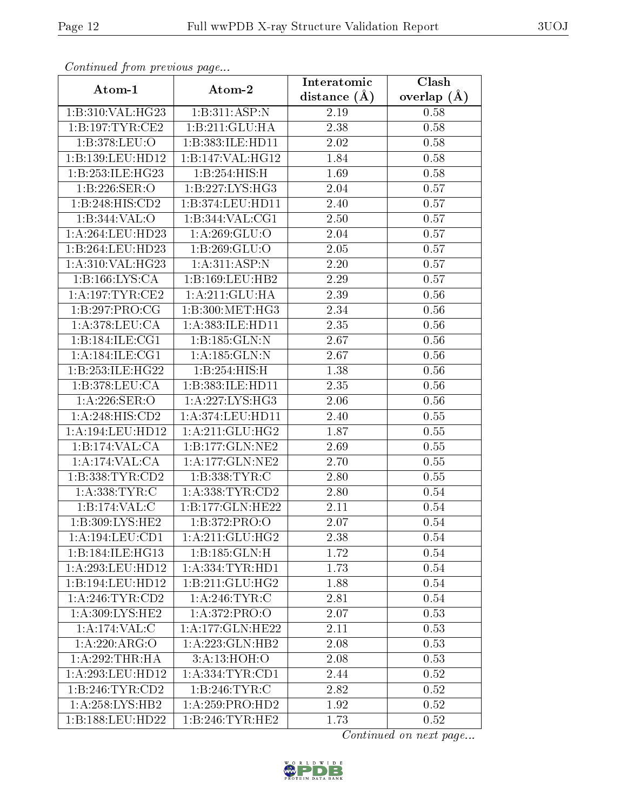| Continuata from previous page |                                  | Interatomic    | Clash           |
|-------------------------------|----------------------------------|----------------|-----------------|
| Atom-1                        | Atom-2                           | distance $(A)$ | overlap $(\AA)$ |
| 1:B:310:VAL:HG23              | 1:B:311:ASP:N                    | 2.19           | 0.58            |
| 1: B: 197: TYR: CE2           | 1:B:211:GLU:HA                   | 2.38           | 0.58            |
| 1:B:378:LEU:O                 | 1:B:383:ILE:HD11                 | 2.02           | 0.58            |
| 1:B:139:LEU:HD12              | 1:B:147:VAL:HG12                 | 1.84           | 0.58            |
| 1:B:253:ILE:HG23              | 1:B:254:HIS:H                    | 1.69           | 0.58            |
| 1:B:226:SER:O                 | 1:B:227:LYS:HG3                  | 2.04           | 0.57            |
| 1:B:248:HIS:CD2               | 1:B:374:LEU:HD11                 | 2.40           | 0.57            |
| 1:B:344:VAL:O                 | 1:B:344:VAL:CG1                  | 2.50           | 0.57            |
| 1: A:264:LEU:HD23             | 1:A:269:GLU:O                    | 2.04           | 0.57            |
| 1:B:264:LEU:HD23              | 1:B:269:GLU:O                    | 2.05           | 0.57            |
| 1:A:310:VAL:HG23              | 1: A:311: ASP: N                 | 2.20           | 0.57            |
| 1:B:166:LYS:CA                | 1:B:169:LEU:HB2                  | 2.29           | 0.57            |
| 1:A:197:TYR:CE2               | 1:A:211:GLU:HA                   | 2.39           | 0.56            |
| 1:B:297:PRO:CG                | 1:B:300:MET:HG3                  | 2.34           | 0.56            |
| 1:A:378:LEU:CA                | 1:A:383:ILE:HD11                 | 2.35           | 0.56            |
| 1:B:184:ILE:CG1               | 1:B:185:GLN:N                    | 2.67           | 0.56            |
| 1: A:184: ILE: CG1            | 1:A:185:GLN:N                    | 2.67           | 0.56            |
| 1:B:253:ILE:HG22              | 1:B:254:HIS:H                    | 1.38           | 0.56            |
| 1:B:378:LEU:CA                | 1:B:383:ILE:HD11                 | 2.35           | 0.56            |
| 1: A:226: SER:O               | 1: A: 227: LYS: HG3              | 2.06           | 0.56            |
| 1:A:248:HIS:CD2               | 1:A:374:LEU:HD11                 | 2.40           | 0.55            |
| 1:A:194:LEU:HD12              | 1: A:211: GLU:HG2                | 1.87           | 0.55            |
| 1:B:174:VAL:CA                | 1:B:177:GLN:NE2                  | 2.69           | 0.55            |
| 1:A:174:VAL:CA                | 1: A: 177: GLN: NE2              | 2.70           | 0.55            |
| 1:B:338:TYR:CD2               | 1:B:338:TYR:C                    | 2.80           | 0.55            |
| 1: A: 338: TYR: C             | 1: A: 338: TYR: CD2              | 2.80           | 0.54            |
| 1:B:174:VAL:CD                | 1:B:177:GLN:HE22                 | 2.11           | 0.54            |
| 1:B:309:LYS:HE2               | 1:B:372:PRO:O                    | 2.07           | 0.54            |
| 1:A:194:LEU:CD1               | 1: A:211: GLU:HG2                | 2.38           | 0.54            |
| 1:B:184:ILE:HG13              | 1:B:185:GLN:H                    | 1.72           | 0.54            |
| 1:A:293:LEU:HD12              | 1: A: 334: TYR: HD1              | 1.73           | 0.54            |
| 1:B:194:LEU:HD12              | 1:B:211:GLU:HG2                  | 1.88           | 0.54            |
| 1: A:246:TYR:CD2              | 1: A:246:TYR:C                   | 2.81           | 0.54            |
| 1:A:309:LYS:HE2               | 1:A:372:PRO:O                    | 2.07           | 0.53            |
| 1:A:174:VAL:CC                | 1:A:177:GLN:HE22                 | 2.11           | 0.53            |
| 1:A:220:ARG:O                 | 1:A:223:GLN:HB2                  | 2.08           | 0.53            |
| 1:A:292:THR:HA                | 3:A:13:HOH:O                     | 2.08           | 0.53            |
| 1: A:293:LEU:HD12             | $1: A: 334: TYR: \overline{CD1}$ | 2.44           | 0.52            |
| 1:B:246:TYR:CD2               | 1:B:246:TYR:C                    | 2.82           | 0.52            |
| 1: A:258:LYS:HB2              | 1: A:259: PRO:HD2                | 1.92           | 0.52            |
| 1:B:188:LEU:HD22              | 1:B:246:TYR:HE2                  | 1.73           | 0.52            |

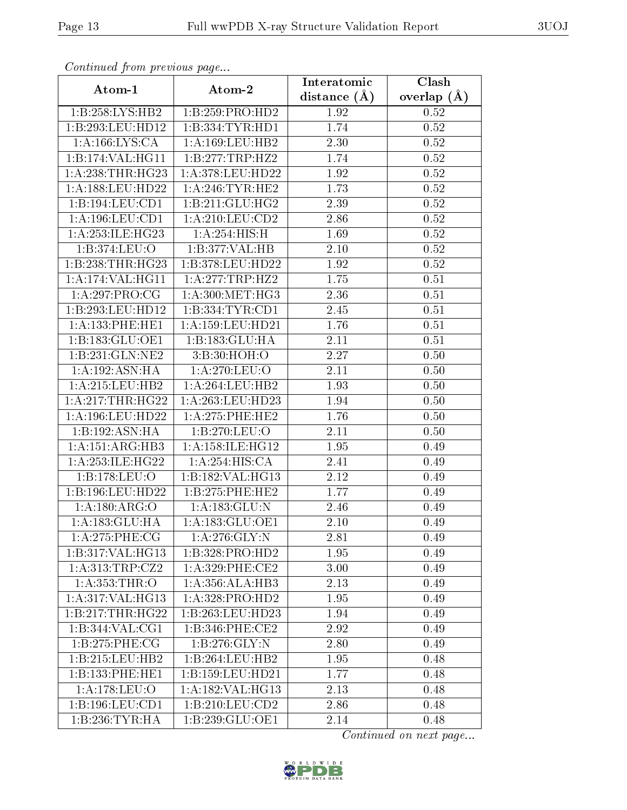| Communaca from previous page |                      | Interatomic    | Clash         |
|------------------------------|----------------------|----------------|---------------|
| Atom-1                       | Atom-2               | distance $(A)$ | overlap $(A)$ |
| 1:B:258:LYS:HB2              | 1:B:259:PRO:HD2      | 1.92           | 0.52          |
| 1:B:293:LEU:HD12             | 1:B:334:TYR:HD1      | 1.74           | 0.52          |
| 1: A: 166: LYS: CA           | 1: A: 169: LEU: HB2  | 2.30           | 0.52          |
| 1:B:174:VAL:HG11             | 1:B:277:TRP:HZ2      | 1.74           | 0.52          |
| 1: A:238:THR:HG23            | 1:A:378:LEU:HD22     | 1.92           | 0.52          |
| 1: A: 188: LEU: HD22         | 1: A:246:TYR:HE2     | 1.73           | 0.52          |
| 1:B:194:LEU:CD1              | 1:B:211:GLU:HG2      | 2.39           | $0.52\,$      |
| 1: A: 196: LEU: CD1          | 1: A:210:LEU:CD2     | 2.86           | 0.52          |
| 1:A:253:ILE:HG23             | 1: A:254: HIS:H      | 1.69           | $0.52\,$      |
| 1:B:374:LEU:O                | 1:B:377:VAL:HB       | 2.10           | 0.52          |
| 1:B:238:THR:HG23             | 1:B:378:LEU:HD22     | 1.92           | $0.52\,$      |
| 1:A:174:VAL:HG11             | 1: A:277:TRP:HZ2     | 1.75           | 0.51          |
| 1:A:297:PRO:CG               | 1: A:300:MET:HG3     | 2.36           | 0.51          |
| 1:B:293:LEU:HD12             | 1:B:334:TYR:CD1      | 2.45           | 0.51          |
| $1:$ A:133:PHE:HE1           | 1: A: 159: LEU: HD21 | 1.76           | 0.51          |
| 1:B:183:GLU:OE1              | 1:B:183:GLU:HA       | 2.11           | 0.51          |
| 1:B:231:GLN:NE2              | 3:B:30:HOH:O         | 2.27           | 0.50          |
| 1:A:192:ASN:HA               | 1: A:270: LEU:O      | 2.11           | 0.50          |
| 1:A:215:LEU:HB2              | 1:A:264:LEU:HB2      | 1.93           | 0.50          |
| 1: A:217:THR:HG22            | 1: A:263:LEU:HD23    | 1.94           | 0.50          |
| 1:A:196:LEU:HD22             | 1:A:275:PHE:HE2      | 1.76           | 0.50          |
| 1:B:192:ASN:HA               | 1:B:270:LEU:O        | 2.11           | 0.50          |
| 1: A:151: ARG:HB3            | 1: A:158: ILE: HG12  | 1.95           | 0.49          |
| 1: A: 253: ILE: HG22         | 1:A:254:HIS:CA       | 2.41           | 0.49          |
| 1:B:178:LEU:O                | 1:B:182:VAL:HG13     | 2.12           | 0.49          |
| 1:B:196:LEU:HD22             | 1:B:275:PHE:HE2      | 1.77           | 0.49          |
| 1: A: 180: ARG: O            | 1: A: 183: GLU: N    | 2.46           | 0.49          |
| 1:A:183:GLU:HA               | 1:A:183:GLU:OE1      | 2.10           | 0.49          |
| $1:A:275:PHE: \overline{CG}$ | 1: A:276: GLY:N      | 2.81           | 0.49          |
| 1:B:317:VAL:HG13             | 1:B:328:PRO:HD2      | 1.95           | 0.49          |
| 1:A:313:TRP:CZ2              | $1: A:329:$ PHE:CE2  | 3.00           | 0.49          |
| 1: A: 353: THR:O             | 1:A:356:ALA:HB3      | 2.13           | 0.49          |
| 1: A:317: VAL:HG13           | 1: A: 328: PRO: HD2  | 1.95           | 0.49          |
| 1:B:217:THR:HG22             | 1:B:263:LEU:HD23     | 1.94           | 0.49          |
| 1:B:344:VAL:CG1              | 1: B:346: PHE:CE2    | 2.92           | 0.49          |
| 1:B:275:PHE:CG               | 1: B: 276: GLY:N     | 2.80           | 0.49          |
| 1:B:215:LEU:HB2              | 1:B:264:LEU:HB2      | 1.95           | 0.48          |
| 1:B:133:PHE:HE1              | 1:B:159:LEU:HD21     | 1.77           | 0.48          |
| 1: A:178: LEU:O              | 1: A: 182: VAL: HG13 | 2.13           | 0.48          |
| 1:B:196:LEU:CD1              | 1:B:210:LEU:CD2      | 2.86           | 0.48          |
| $1:B:236:TYR:H\overline{A}$  | 1:B:239:GLU:OE1      | 2.14           | 0.48          |

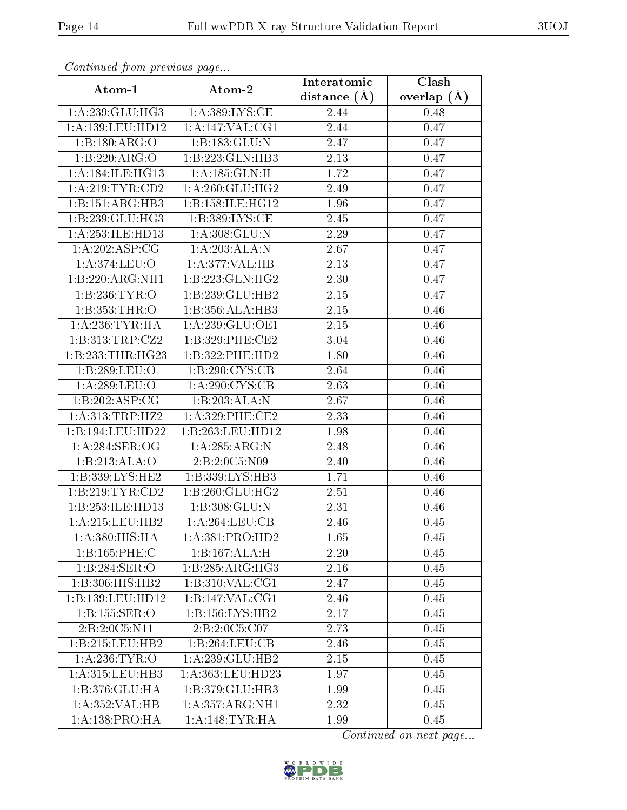| Continuata from previous page |                     | Interatomic    | Clash           |
|-------------------------------|---------------------|----------------|-----------------|
| Atom-1                        | Atom-2              | distance $(A)$ | overlap $(\AA)$ |
| 1:A:239:GLU:HG3               | 1: A: 389: LYS: CE  | 2.44           | 0.48            |
| 1: A: 139: LEU: HD12          | 1:A:147:VAL:CG1     | 2.44           | 0.47            |
| 1:B:180:ARG:O                 | 1:B:183:GLU:N       | 2.47           | 0.47            |
| 1:B:220:ARG:O                 | 1:B:223:GLN:HB3     | 2.13           | 0.47            |
| 1: A:184: ILE: HG13           | 1: A: 185: GLN:H    | 1.72           | 0.47            |
| 1: A:219: TYR: CD2            | 1: A:260: GLU:HG2   | 2.49           | 0.47            |
| 1:B:151:ARG:HB3               | 1:B:158:ILE:HG12    | 1.96           | 0.47            |
| 1:B:239:GLU:HG3               | 1:B:389:LYS:CE      | 2.45           | 0.47            |
| 1:A:253:ILE:HD13              | 1: A:308: GLU:N     | 2.29           | 0.47            |
| 1: A:202: ASP:CG              | 1:A:203:ALA:N       | 2.67           | 0.47            |
| 1:A:374:LEU:O                 | 1:A:377:VAL:HB      | 2.13           | 0.47            |
| 1:B:220:ARG:NH1               | 1: B: 223: GLN: HG2 | 2.30           | 0.47            |
| 1:B:236:TYR:O                 | 1:B:239:GLU:HB2     | 2.15           | 0.47            |
| 1:B:353:THR:O                 | 1:B:356:ALA:HB3     | 2.15           | 0.46            |
| 1: A:236:TYR:HA               | 1:A:239:GLU:OE1     | 2.15           | 0.46            |
| 1:B:313:TRP:CZ2               | 1:B:329:PHE:CE2     | 3.04           | 0.46            |
| 1:B:233:THR:HG23              | 1:B:322:PHE:HD2     | 1.80           | 0.46            |
| 1:B:289:LEU:O                 | 1:B:290:CYS:CB      | 2.64           | 0.46            |
| 1: A:289:LEU:O                | 1: A:290: CYS:CB    | 2.63           | 0.46            |
| 1:B:202:ASP:CG                | 1:B:203:ALA:N       | 2.67           | 0.46            |
| 1: A:313:TRP:HZ2              | $1: A:329:$ PHE:CE2 | 2.33           | 0.46            |
| 1:B:194:LEU:HD22              | 1:B:263:LEU:HD12    | 1.98           | 0.46            |
| 1:A:284:SER:OG                | 1: A:285: ARG: N    | 2.48           | 0.46            |
| 1:B:213:ALA:O                 | 2:B:2:0C5:N09       | 2.40           | 0.46            |
| 1:B:339:LYS:HE2               | 1:B:339:LYS:HB3     | 1.71           | 0.46            |
| 1:B:219:TYR:CD2               | 1:B:260:GLU:HG2     | 2.51           | 0.46            |
| 1:B:253:ILE:HD13              | 1:B:308:GLU:N       | 2.31           | 0.46            |
| 1: A:215:LEU:HB2              | 1: A:264:LEU:CB     | 2.46           | 0.45            |
| 1:A:380:HIS:HA                | 1:A:381:PRO:HD2     | 1.65           | 0.45            |
| 1:B:165:PHE:C                 | 1:B:167:ALA:H       | 2.20           | 0.45            |
| 1:B:284:SER:O                 | 1:B:285:ARG:HG3     | 2.16           | 0.45            |
| 1:B:306:HIS:HB2               | 1: B:310: VAL: CG1  | 2.47           | 0.45            |
| 1:B:139:LEU:HD12              | 1: B: 147: VAL: CG1 | 2.46           | 0.45            |
| 1:B:155:SER:O                 | 1:B:156:LYS:HB2     | 2.17           | 0.45            |
| 2:B:2:0C5:N11                 | 2:B:2:0C5:C07       | 2.73           | 0.45            |
| 1:B:215:LEU:HB2               | 1:B:264:LEU:CB      | 2.46           | 0.45            |
| 1: A:236:TYR:O                | 1: A:239: GLU:HB2   | 2.15           | 0.45            |
| 1: A:315:LEU:HB3              | 1:A:363:LEU:HD23    | 1.97           | 0.45            |
| 1: B: 376: GLU: HA            | 1:B:379:GLU:HB3     | 1.99           | 0.45            |
| 1:A:352:VAL:HB                | 1:A:357:ARG:NH1     | 2.32           | 0.45            |
| 1: A: 138: PRO: HA            | 1: A:148:TYR:HA     | 1.99           | 0.45            |

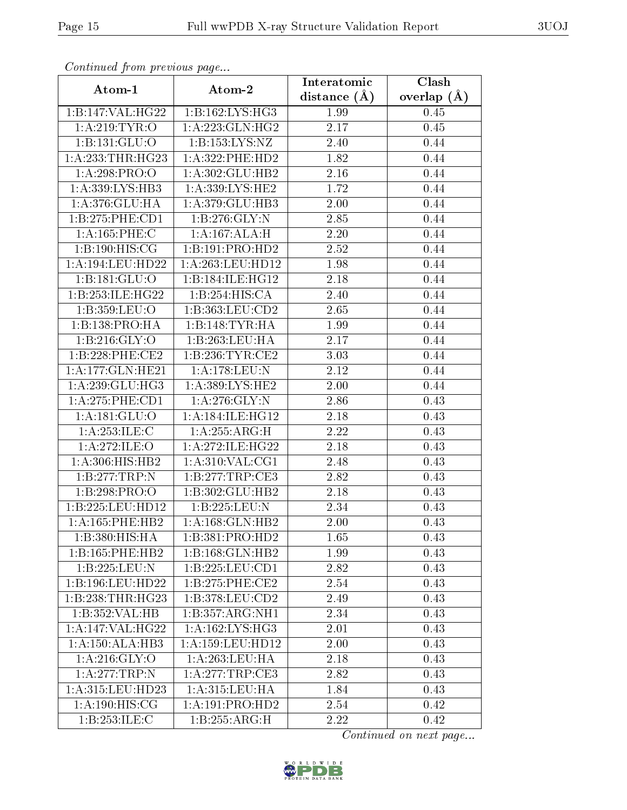| Continuea from previous page |                     | Interatomic    | Clash         |
|------------------------------|---------------------|----------------|---------------|
| Atom-1                       | Atom-2              | distance $(A)$ | overlap $(A)$ |
| 1:B:147:VAL:HG22             | 1:B:162:LYS:HG3     | 1.99           | 0.45          |
| 1: A:219: TYR:O              | 1: A: 223: GLN: HG2 | 2.17           | 0.45          |
| 1: B: 131: GLU: O            | 1:B:153:LYS:NZ      | 2.40           | 0.44          |
| 1: A: 233: THR: HG23         | 1:A:322:PHE:HD2     | 1.82           | 0.44          |
| 1:A:298:PRO:O                | 1:A:302:GLU:HB2     | 2.16           | 0.44          |
| 1: A: 339: LYS: HB3          | 1: A: 339: LYS: HE2 | 1.72           | 0.44          |
| 1:A:376:GLU:HA               | 1:A:379:GLU:HB3     | 2.00           | 0.44          |
| 1:B:275:PHE:CD1              | 1:B:276:GLY:N       | 2.85           | 0.44          |
| 1:A:165:PHE:C                | 1:A:167:ALA:H       | 2.20           | 0.44          |
| 1: B: 190: HIS: CG           | 1:B:191:PRO:HD2     | 2.52           | 0.44          |
| 1: A:194:LEU:HD22            | 1:A:263:LEU:HD12    | 1.98           | 0.44          |
| 1:B:181:GLU:O                | 1:B:184:ILE:HG12    | 2.18           | 0.44          |
| 1:B:253:ILE:HG22             | 1:B:254:HIS:CA      | 2.40           | 0.44          |
| 1:B:359:LEU:O                | 1:B:363:LEU:CD2     | 2.65           | 0.44          |
| 1:B:138:PRO:HA               | 1:B:148:TYR:HA      | 1.99           | 0.44          |
| 1:B:216:GLY:O                | 1:B:263:LEU:HA      | 2.17           | 0.44          |
| 1:B:228:PHE:CE2              | 1:B:236:TYR:CE2     | 3.03           | 0.44          |
| 1:A:177:GLN:HE21             | 1:A:178:LEU:N       | 2.12           | 0.44          |
| 1: A:239: GLU:HG3            | 1: A: 389: LYS: HE2 | 2.00           | 0.44          |
| 1: A:275: PHE:CD1            | 1: A:276: GLY:N     | 2.86           | 0.43          |
| 1:A:181:GLU:O                | 1: A:184: ILE: HG12 | 2.18           | 0.43          |
| 1:A:253:ILE:C                | 1: A:255: ARG:H     | 2.22           | 0.43          |
| 1:A:272:ILE:O                | 1:A:272:ILE:HG22    | 2.18           | 0.43          |
| 1:A:306:HIS:HB2              | 1: A:310: VAL:CG1   | 2.48           | 0.43          |
| 1:B:277:TRP:N                | 1:B:277:TRP:CE3     | 2.82           | 0.43          |
| 1:B:298:PRO:O                | 1:B:302:GLU:HB2     | 2.18           | 0.43          |
| 1:B:225:LEU:HD12             | 1:B:225:LEU:N       | 2.34           | 0.43          |
| 1:A:165:PHE:HB2              | 1: A:168: GLN: HB2  | 2.00           | 0.43          |
| 1:B:380:HIS:HA               | 1:B:381:PRO:HD2     | 1.65           | 0.43          |
| 1:B:165:PHE:HB2              | 1:B:168:GLN:HB2     | 1.99           | 0.43          |
| 1:B:225:LEU:N                | 1:B:225:LEU:CD1     | 2.82           | 0.43          |
| 1:B:196:LEU:HD22             | 1:B:275:PHE:CE2     | 2.54           | 0.43          |
| 1:B:238:THR:HG23             | 1:B:378:LEU:CD2     | 2.49           | 0.43          |
| 1:B:352:VAL:HB               | 1:B:357:ARG:NH1     | 2.34           | 0.43          |
| 1:A:147:VAL:H G22            | 1: A: 162: LYS: HG3 | 2.01           | 0.43          |
| 1:A:150:ALA:HB3              | 1:A:159:LEU:HD12    | 2.00           | 0.43          |
| 1: A:216: GLY:O              | 1: A:263:LEU:HA     | 2.18           | 0.43          |
| 1:A:277:TRP:N                | 1:A:277:TRP:CE3     | 2.82           | 0.43          |
| 1: A:315: LEU: HD23          | 1: A:315: LEU: HA   | 1.84           | 0.43          |
| 1: A: 190:HIS: CG            | 1:A:191:PRO:HD2     | 2.54           | 0.42          |
| 1:B:253:ILE:C                | 1:B:255:ARG:H       | 2.22           | 0.42          |

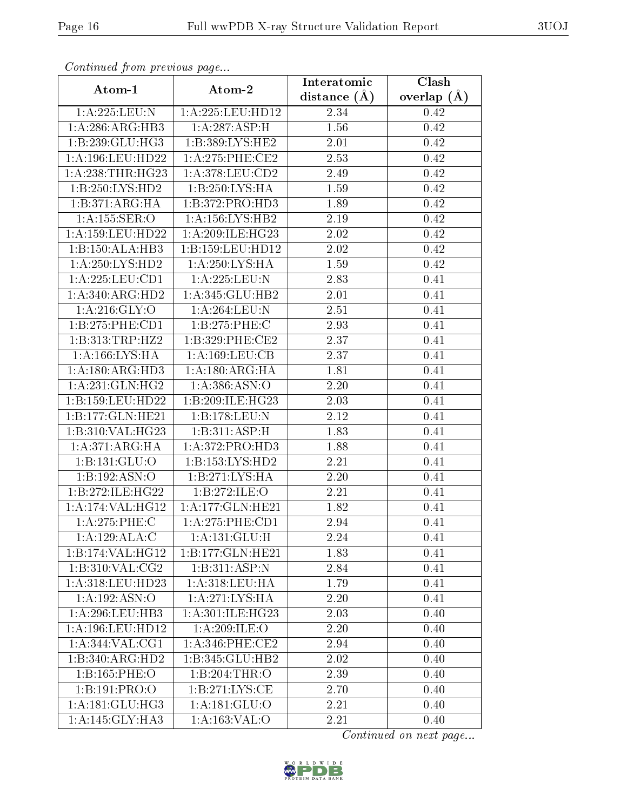| Communa from previous page |                             | Interatomic    | Clash         |
|----------------------------|-----------------------------|----------------|---------------|
| Atom-1                     | Atom-2                      | distance $(A)$ | overlap $(A)$ |
| 1:A:225:LEU:N              | 1:A:225:LEU:HD12            | 2.34           | 0.42          |
| 1: A:286:ARG:HB3           | 1:A:287:ASP:H               | 1.56           | 0.42          |
| 1:B:239:GLU:HG3            | 1:B:389:LYS:HE2             | $2.01\,$       | 0.42          |
| 1: A:196:LEU:HD22          | 1: A:275:PHE:CE2            | 2.53           | 0.42          |
| 1:A:238:THR:HG23           | 1:A:378:LEU:CD2             | 2.49           | 0.42          |
| 1:B:250:LYS:HD2            | 1:B:250:LYS:HA              | 1.59           | 0.42          |
| 1:B:371:ARG:HA             | 1:B:372:PRO:HD3             | 1.89           | 0.42          |
| 1:A:155:SER:O              | 1: A: 156: LYS: HB2         | 2.19           | 0.42          |
| 1:A:159:LEU:HD22           | 1: A:209: ILE: HG23         | 2.02           | 0.42          |
| 1:B:150:ALA:HB3            | 1:B:159:LEU:HD12            | 2.02           | 0.42          |
| 1:A:250:LYS:HD2            | $1:A:250:LY\overline{S:HA}$ | 1.59           | 0.42          |
| 1: A:225: LEU: CD1         | 1:A:225:LEU:N               | 2.83           | 0.41          |
| 1:A:340:ARG:HD2            | 1:A:345:GLU:HB2             | 2.01           | 0.41          |
| 1: A:216: GLY:O            | 1:A:264:LEU:N               | 2.51           | 0.41          |
| 1:B:275:PHE:CD1            | 1:B:275:PHE:C               | 2.93           | 0.41          |
| 1:B:313:TRP:HZ2            | 1:B:329:PHE:CE2             | 2.37           | 0.41          |
| 1:A:166:LYS:HA             | 1: A: 169: LEU: CB          | 2.37           | 0.41          |
| 1: A:180:ARG:HD3           | 1: A: 180: ARG: HA          | 1.81           | 0.41          |
| 1: A:231: GLN: HG2         | 1:A:386:ASN:O               | 2.20           | 0.41          |
| 1:B:159:LEU:HD22           | 1:B:209:ILE:HG23            | 2.03           | 0.41          |
| 1:B:177:GLN:HE21           | 1:B:178:LEU:N               | 2.12           | 0.41          |
| 1:B:310:VAL:HG23           | 1:B:311:ASP:H               | 1.83           | 0.41          |
| 1: A:371: ARG: HA          | 1:A:372:PRO:HD3             | 1.88           | 0.41          |
| 1:B:131:GLU:O              | 1: B: 153: LYS: HD2         | 2.21           | 0.41          |
| 1:B:192:ASN:O              | 1:B:271:LYS:HA              | 2.20           | 0.41          |
| 1:B:272:ILE:HG22           | 1:B:272:ILE:O               | 2.21           | 0.41          |
| 1:A:174:VAL:HG12           | 1:A:177:GLN:HE21            | 1.82           | 0.41          |
| 1: A:275:PHE:C             | 1:A:275:PHE:CD1             | 2.94           | 0.41          |
| 1:A:129:ALA:C              | 1:A:131:GLU:H               | 2.24           | 0.41          |
| 1:B:174:VAL:HG12           | 1:B:177:GLN:HE21            | 1.83           | 0.41          |
| $1: B:310: \sqrt{AL:CG2}$  | 1:B:311:ASP:N               | 2.84           | 0.41          |
| 1:A:318:LEU:HD23           | 1: A:318:LEU:HA             | 1.79           | 0.41          |
| 1:A:192:ASN:O              | 1: A:271: LYS: HA           | 2.20           | 0.41          |
| 1:A:296:LEU:HB3            | 1:A:301:ILE:HG23            | 2.03           | 0.40          |
| 1: A:196:LEU:HD12          | 1: A:209: ILE:O             | 2.20           | 0.40          |
| 1: A:344: VAL: CG1         | $1: A:346:$ PHE:CE2         | 2.94           | 0.40          |
| 1:B:340:ARG:HD2            | 1:B:345:GLU:HB2             | 2.02           | 0.40          |
| 1:B:165:PHE:O              | 1:B:204:THR:O               | 2.39           | 0.40          |
| 1:B:191:PRO:O              | 1: B:271: LYS: CE           | 2.70           | 0.40          |
| 1: A:181: GLU:HG3          | 1: A: 181: GLU:O            | 2.21           | 0.40          |
| 1:A:145:GLY:HA3            | 1:A:163:VAL:O               | 2.21           | 0.40          |

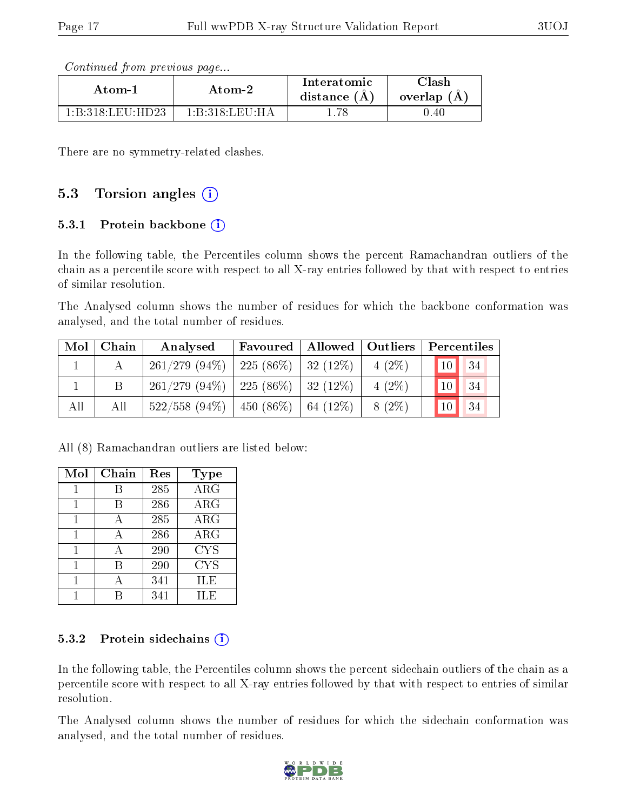Continued from previous page...

| Atom-1            | Atom-2           | Interatomic<br>distance (A) | ~lash=<br>overlap (A) |
|-------------------|------------------|-----------------------------|-----------------------|
| 1 R 318 LEU HD23. | 1 B 318 LEII H A |                             | 0.40                  |

There are no symmetry-related clashes.

### 5.3 Torsion angles  $(i)$

#### 5.3.1 Protein backbone  $(i)$

In the following table, the Percentiles column shows the percent Ramachandran outliers of the chain as a percentile score with respect to all X-ray entries followed by that with respect to entries of similar resolution.

The Analysed column shows the number of residues for which the backbone conformation was analysed, and the total number of residues.

| Mol | $\mid$ Chain | Analysed                                        |  |          | Favoured   Allowed   Outliers   Percentiles |
|-----|--------------|-------------------------------------------------|--|----------|---------------------------------------------|
|     |              | $261/279$ (94\%)   225 (86\%)   32 (12\%)       |  | $4(2\%)$ | 10 <br> 34                                  |
|     |              | $261/279$ $(94\%)$   225 $(86\%)$   32 $(12\%)$ |  | $4(2\%)$ | 34<br>10 <sup>1</sup>                       |
| All | All          | $522/558$ (94\%)   450 (86\%)   64 (12\%)       |  | $8(2\%)$ | 34<br>10 <sup>1</sup>                       |

All (8) Ramachandran outliers are listed below:

| Mol | Chain | Res | Type             |
|-----|-------|-----|------------------|
| 1   | В     | 285 | $AR\overline{G}$ |
| 1   | В     | 286 | $\rm{ARG}$       |
| 1   | А     | 285 | <b>ARG</b>       |
| 1   | А     | 286 | $\rm{ARG}$       |
| 1   | А     | 290 | <b>CYS</b>       |
|     | В     | 290 | <b>CYS</b>       |
|     | А     | 341 | ILE              |
|     |       | 341 | ILE              |

#### 5.3.2 Protein sidechains  $(i)$

In the following table, the Percentiles column shows the percent sidechain outliers of the chain as a percentile score with respect to all X-ray entries followed by that with respect to entries of similar resolution.

The Analysed column shows the number of residues for which the sidechain conformation was analysed, and the total number of residues.

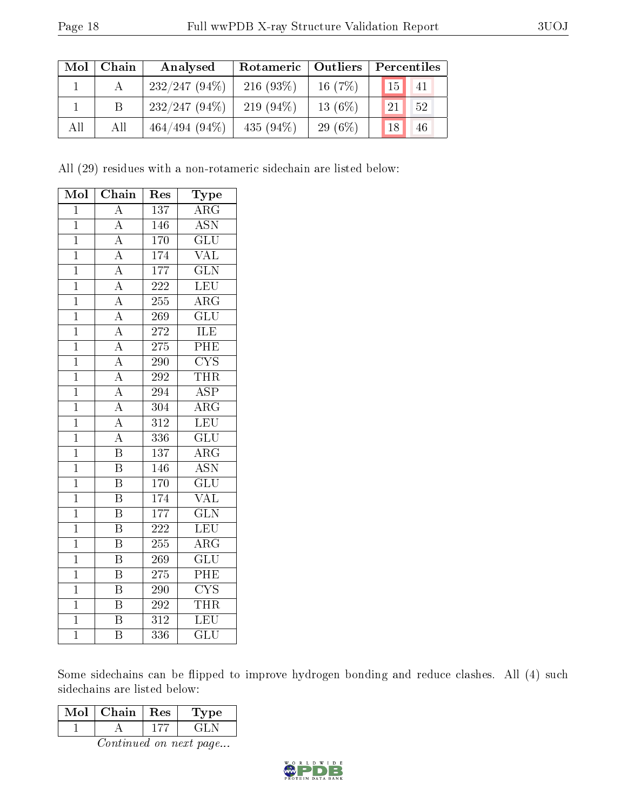| Mol | Chain | Analysed        | Rotameric   Outliers |           | Percentiles                     |  |  |
|-----|-------|-----------------|----------------------|-----------|---------------------------------|--|--|
|     |       | $232/247(94\%)$ | $216(93\%)$          | 16 $(7%)$ | $\mathbf{I}_{15}$<br>$\vert$ 41 |  |  |
|     |       | $232/247(94\%)$ | 219 $(94\%)$         | $13(6\%)$ | 52<br>121                       |  |  |
| All | All   | $464/494(94\%)$ | 435 $(94\%)$         | 29 $(6%)$ | 18<br>46                        |  |  |

All (29) residues with a non-rotameric sidechain are listed below:

| Mol            | Chain                   | Type<br>$\operatorname{Res}% \left( \mathcal{N}\right) \equiv\operatorname{Res}(\mathcal{N}_{0})\left( \mathcal{N}_{0}\right) ^{2}$ |                         |
|----------------|-------------------------|-------------------------------------------------------------------------------------------------------------------------------------|-------------------------|
| $\mathbf{1}$   | $\overline{\rm A}$      | 137                                                                                                                                 | $\overline{\text{ARG}}$ |
| $\mathbf{1}$   | $\boldsymbol{A}$        | 146                                                                                                                                 | <b>ASN</b>              |
| $\overline{1}$ | $\overline{A}$          | 170                                                                                                                                 | $\overline{{\rm GLU}}$  |
| $\mathbf 1$    | $\overline{A}$          | 174                                                                                                                                 | <b>VAL</b>              |
| $\overline{1}$ | $\overline{A}$          | 177                                                                                                                                 | $\overline{\text{GLN}}$ |
| $\overline{1}$ | $\overline{A}$          | $222\,$                                                                                                                             | <b>LEU</b>              |
| $\overline{1}$ | $\overline{A}$          | 255                                                                                                                                 | $\overline{\rm{ARG}}$   |
| $\overline{1}$ | $\overline{A}$          | 269                                                                                                                                 | $\overline{\text{GLU}}$ |
| $\mathbf{1}$   | $\overline{A}$          | 272                                                                                                                                 | ILE                     |
| $\overline{1}$ | $\overline{A}$          | 275                                                                                                                                 | PHE                     |
| $\overline{1}$ | $\overline{A}$          | 290                                                                                                                                 | $\overline{\text{CYS}}$ |
| $\overline{1}$ | $\overline{A}$          | 292                                                                                                                                 | <b>THR</b>              |
| $\overline{1}$ | $\overline{A}$          | 294                                                                                                                                 | $\overline{\text{ASP}}$ |
| $\mathbf{1}$   | $\overline{A}$          | 304                                                                                                                                 | $\rm{ARG}$              |
| $\overline{1}$ | $\overline{A}$          | $\overline{312}$                                                                                                                    | $\overline{\text{LEU}}$ |
| $\overline{1}$ | $\overline{A}$          | 336                                                                                                                                 | $\overline{\text{GLU}}$ |
| $\mathbf 1$    | $\overline{\mathrm{B}}$ | 137                                                                                                                                 | $\rm{ARG}$              |
| $\overline{1}$ | $\overline{\mathbf{B}}$ | 146                                                                                                                                 | <b>ASN</b>              |
| $\mathbf 1$    | $\overline{\mathrm{B}}$ | 170                                                                                                                                 | $\overline{\text{GLU}}$ |
| $\overline{1}$ | $\overline{\mathrm{B}}$ | 174                                                                                                                                 | $\overline{\text{VAL}}$ |
| $\mathbf 1$    | $\overline{\mathbf{B}}$ | 177                                                                                                                                 | $\overline{\text{GLN}}$ |
| $\overline{1}$ | $\overline{\mathrm{B}}$ | $\overline{222}$                                                                                                                    | LEU                     |
| $\overline{1}$ | $\overline{\mathrm{B}}$ | 255                                                                                                                                 | $\overline{\rm{ARG}}$   |
| $\overline{1}$ | $\overline{\rm B}$      | 269                                                                                                                                 | $\overline{\text{GLU}}$ |
| $\overline{1}$ | $\overline{\mathrm{B}}$ | 275                                                                                                                                 | PHE                     |
| $\overline{1}$ | $\overline{\mathrm{B}}$ | 290                                                                                                                                 | $\overline{\text{CYS}}$ |
| $\overline{1}$ | $\overline{\mathrm{B}}$ | 292                                                                                                                                 | <b>THR</b>              |
| $\overline{1}$ | $\overline{B}$          | $\overline{312}$                                                                                                                    | LEU                     |
| $\overline{1}$ | $\overline{\mathrm{B}}$ | 336                                                                                                                                 | $\overline{{\rm GLU}}$  |

Some sidechains can be flipped to improve hydrogen bonding and reduce clashes. All (4) such sidechains are listed below:

| Mol | Chain | Res | Type |
|-----|-------|-----|------|
|     |       |     |      |

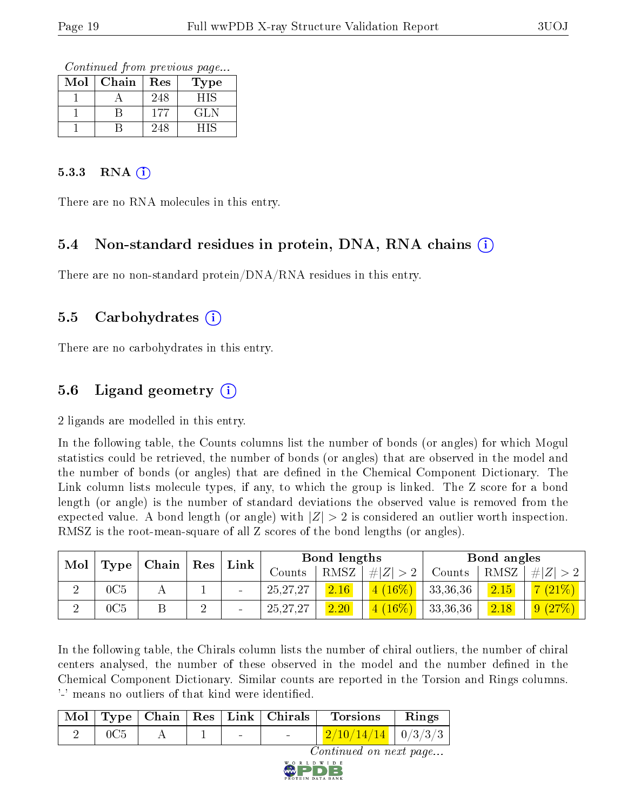Continued from previous page...

| Mol | Chain | Res | Type |
|-----|-------|-----|------|
|     |       | 248 | НIS  |
|     |       | 177 | GLN  |
|     |       | 248 | HIS  |

#### $5.3.3$  RNA  $(i)$

There are no RNA molecules in this entry.

### 5.4 Non-standard residues in protein, DNA, RNA chains (i)

There are no non-standard protein/DNA/RNA residues in this entry.

#### 5.5 Carbohydrates (i)

There are no carbohydrates in this entry.

## 5.6 Ligand geometry (i)

2 ligands are modelled in this entry.

In the following table, the Counts columns list the number of bonds (or angles) for which Mogul statistics could be retrieved, the number of bonds (or angles) that are observed in the model and the number of bonds (or angles) that are dened in the Chemical Component Dictionary. The Link column lists molecule types, if any, to which the group is linked. The Z score for a bond length (or angle) is the number of standard deviations the observed value is removed from the expected value. A bond length (or angle) with  $|Z| > 2$  is considered an outlier worth inspection. RMSZ is the root-mean-square of all Z scores of the bond lengths (or angles).

| Mol |      | $\mid$ Chain $\mid$ |             |      |            | Bond lengths |                        |          | Bond angles |          |
|-----|------|---------------------|-------------|------|------------|--------------|------------------------|----------|-------------|----------|
|     | Type |                     | $\vert$ Res | Link | Counts     | RMSZ         | $\# Z  > 2$            | Counts   | RMSZ        | # Z      |
|     | 0C5  |                     |             |      | 25, 27, 27 | 2.16         | $(16\%)$<br>41         | 33,36,36 | 2.15        | $(21\%)$ |
|     | 0C5  |                     | ↵           |      | 25, 27, 27 | 2.20         | $(16\%)$<br>$\sqrt{2}$ | 33,36,36 | 2.18        | (9 (27%) |

In the following table, the Chirals column lists the number of chiral outliers, the number of chiral centers analysed, the number of these observed in the model and the number defined in the Chemical Component Dictionary. Similar counts are reported in the Torsion and Rings columns. '-' means no outliers of that kind were identified.

|                                                     |             |                   |  |  | Mol   Type   Chain   Res   Link   Chirals | Torsions                               | $\mathbf{Rings}$ |  |  |
|-----------------------------------------------------|-------------|-------------------|--|--|-------------------------------------------|----------------------------------------|------------------|--|--|
|                                                     | $2 \pm 0C5$ | $A \mid 1 \mid -$ |  |  |                                           | $\frac{2}{10}/\frac{14}{14}$   0/3/3/3 |                  |  |  |
| $\alpha$ . The same decomposed is a set of $\alpha$ |             |                   |  |  |                                           |                                        |                  |  |  |

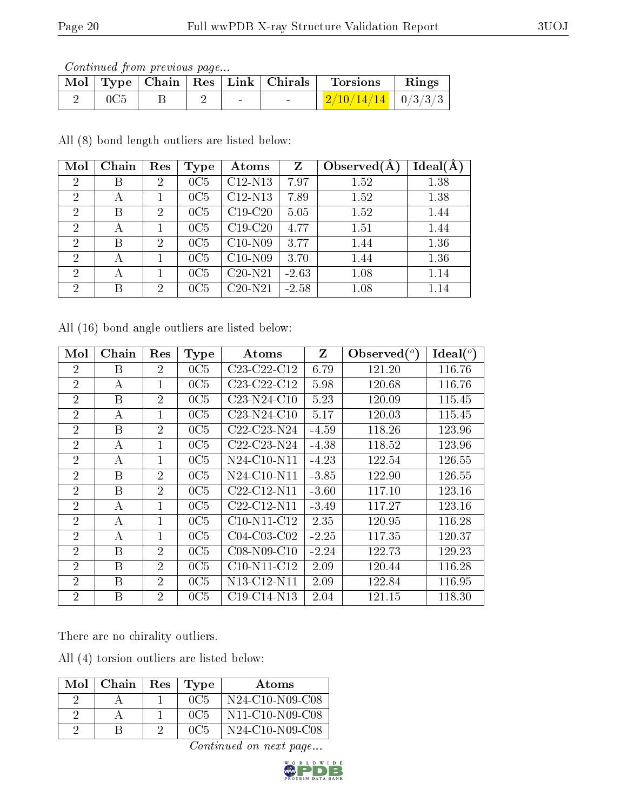Continued from previous page...

|  |  |        | Mol   Type   Chain   Res   Link   Chirals | Torsions                         | Rings |
|--|--|--------|-------------------------------------------|----------------------------------|-------|
|  |  | $\sim$ |                                           | $\frac{1}{2}/10/14/14$   0/3/3/3 |       |

All (8) bond length outliers are listed below:

| Mol            | Chain | Res            | Type | Atoms                | Z       | Observed $(A)$ | Ideal(A) |
|----------------|-------|----------------|------|----------------------|---------|----------------|----------|
| $\overline{2}$ | В     | $\overline{2}$ | 0C5  | $C12-N13$            | 7.97    | 1.52           | 1.38     |
| $\overline{2}$ | А     |                | 0C5  | $C12-N13$            | 7.89    | 1.52           | 1.38     |
| $\overline{2}$ | В     | 2              | 0C5  | $C19-C20$            | 5.05    | 1.52           | 1.44     |
| $\mathcal{P}$  | А     |                | 0C5  | $C19-C20$            | 4.77    | 1.51           | 1.44     |
| $\mathcal{P}$  | В     | 2              | 0C5  | $C10-N09$            | 3.77    | 1.44           | 1.36     |
| $\overline{2}$ | A     |                | 0C5  | $C10-N09$            | 3.70    | 1.44           | 1.36     |
| $\overline{2}$ | А     |                | 0C5  | $C20-N21$            | $-2.63$ | 1.08           | 1.14     |
| $\overline{2}$ | В     | 2              | 0C5  | $\overline{C}20-N21$ | $-2.58$ | 1.08           | 1.14     |

All (16) bond angle outliers are listed below:

| Mol            | Chain | Res            | Type | Atoms                                             | Z       | Observed $(°)$ | Ideal $({}^{\circ})$ |
|----------------|-------|----------------|------|---------------------------------------------------|---------|----------------|----------------------|
| $\overline{2}$ | B     | $\overline{2}$ | 0C5  | $C23-C22-C12$                                     | 6.79    | 121.20         | 116.76               |
| $\overline{2}$ | А     | 1              | 0C5  | $C23-C22-C12$                                     | 5.98    | 120.68         | 116.76               |
| $\overline{2}$ | B     | $\overline{2}$ | 0C5  | $C23-N24-C10$                                     | 5.23    | 120.09         | 115.45               |
| $\overline{2}$ | А     | $\mathbf{1}$   | 0C5  | $C23-N24-C10$                                     | 5.17    | 120.03         | 115.45               |
| $\overline{2}$ | B     | $\overline{2}$ | 0C5  | C <sub>22</sub> -C <sub>23</sub> -N <sub>24</sub> | $-4.59$ | 118.26         | 123.96               |
| $\overline{2}$ | А     | 1              | 0C5  | C <sub>22</sub> -C <sub>23</sub> -N <sub>24</sub> | $-4.38$ | 118.52         | 123.96               |
| $\overline{2}$ | А     | $\overline{1}$ | 0C5  | $N24-C10-N11$                                     | $-4.23$ | 122.54         | 126.55               |
| $\overline{2}$ | B     | $\overline{2}$ | 0C5  | $N24$ -C10-N11                                    | $-3.85$ | 122.90         | 126.55               |
| $\overline{2}$ | B     | $\overline{2}$ | 0C5  | $C22-C12-N11$                                     | $-3.60$ | 117.10         | 123.16               |
| $\overline{2}$ | A     | $\mathbf{1}$   | 0C5  | $C22-C12-N11$                                     | $-3.49$ | 117.27         | 123.16               |
| $\overline{2}$ | А     | 1              | 0C5  | $C10-N11-C12$                                     | 2.35    | 120.95         | 116.28               |
| $\overline{2}$ | А     | 1              | 0C5  | $C04-C03-C02$                                     | $-2.25$ | 117.35         | 120.37               |
| $\overline{2}$ | B     | $\overline{2}$ | 0C5  | C08-N09-C10                                       | $-2.24$ | 122.73         | 129.23               |
| $\overline{2}$ | B     | $\overline{2}$ | 0C5  | $C10-N11-C12$                                     | 2.09    | 120.44         | 116.28               |
| $\overline{2}$ | B     | $\overline{2}$ | 0C5  | N <sub>13</sub> -C <sub>12</sub> -N <sub>11</sub> | 2.09    | 122.84         | 116.95               |
| $\overline{2}$ | B     | $\overline{2}$ | 0C5  | $C19-C14-N13$                                     | 2.04    | 121.15         | 118.30               |

There are no chirality outliers.

All (4) torsion outliers are listed below:

| Mol | Chain | Res | Type | Atoms                                                              |
|-----|-------|-----|------|--------------------------------------------------------------------|
|     |       |     | 0C5  | $N24-C10-N09-C08$                                                  |
|     |       |     | 0C5  | N <sub>11</sub> -C <sub>10</sub> -N <sub>09</sub> -C <sub>08</sub> |
|     |       |     | 0C5  | $N24-C10-N09-C08$                                                  |

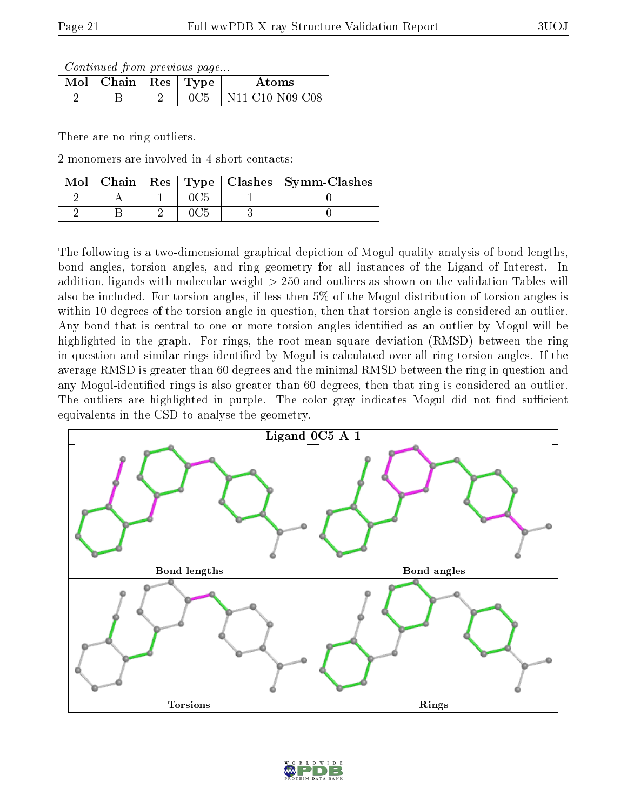Continued from previous page...

| $\text{Mol}$   Chain   Res   Type |  | Atoms             |
|-----------------------------------|--|-------------------|
|                                   |  | $N11-C10-N09-C08$ |

There are no ring outliers.

2 monomers are involved in 4 short contacts:

|  |  | Mol   Chain   Res   Type   Clashes   Symm-Clashes |
|--|--|---------------------------------------------------|
|  |  |                                                   |
|  |  |                                                   |

The following is a two-dimensional graphical depiction of Mogul quality analysis of bond lengths, bond angles, torsion angles, and ring geometry for all instances of the Ligand of Interest. In addition, ligands with molecular weight > 250 and outliers as shown on the validation Tables will also be included. For torsion angles, if less then 5% of the Mogul distribution of torsion angles is within 10 degrees of the torsion angle in question, then that torsion angle is considered an outlier. Any bond that is central to one or more torsion angles identified as an outlier by Mogul will be highlighted in the graph. For rings, the root-mean-square deviation (RMSD) between the ring in question and similar rings identified by Mogul is calculated over all ring torsion angles. If the average RMSD is greater than 60 degrees and the minimal RMSD between the ring in question and any Mogul-identified rings is also greater than 60 degrees, then that ring is considered an outlier. The outliers are highlighted in purple. The color gray indicates Mogul did not find sufficient equivalents in the CSD to analyse the geometry.



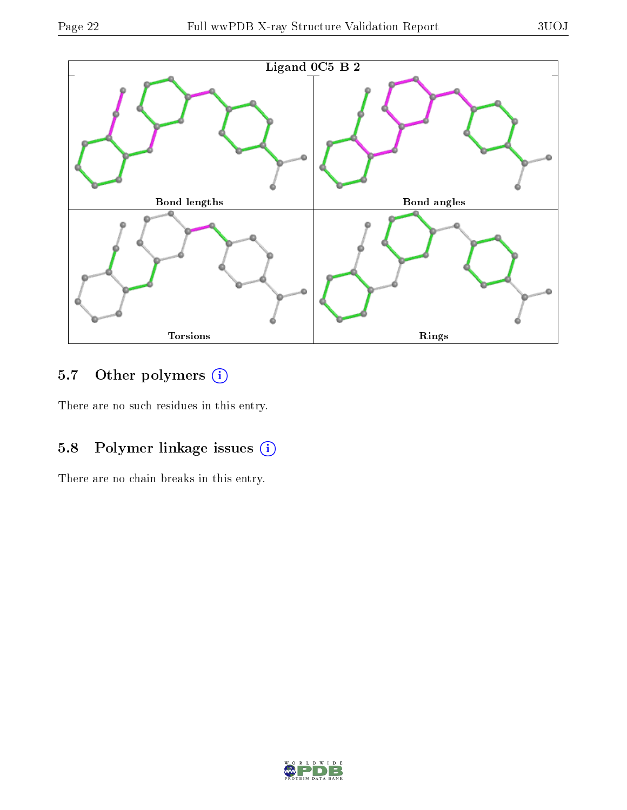

# 5.7 [O](https://www.wwpdb.org/validation/2017/XrayValidationReportHelp#nonstandard_residues_and_ligands)ther polymers (i)

There are no such residues in this entry.

## 5.8 Polymer linkage issues (i)

There are no chain breaks in this entry.

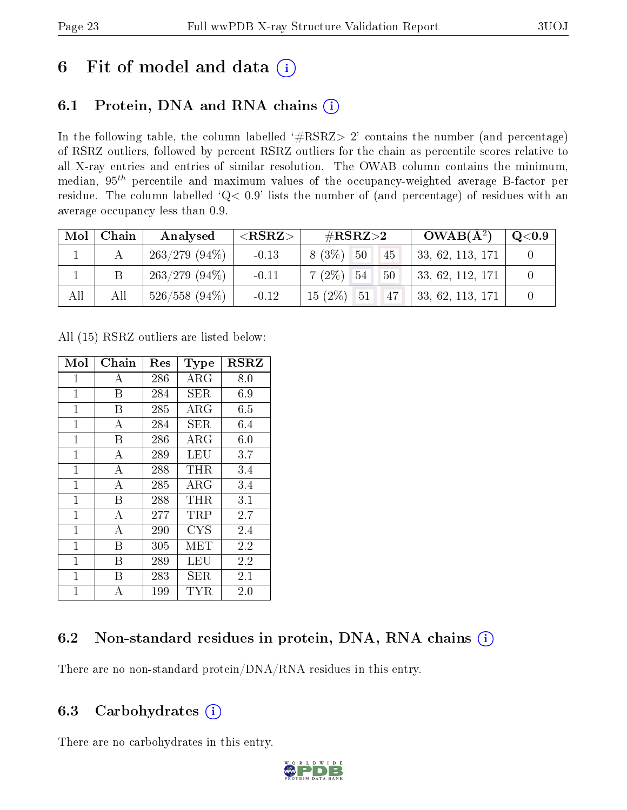# 6 Fit of model and data  $(i)$

# 6.1 Protein, DNA and RNA chains  $(i)$

In the following table, the column labelled  $#RSRZ> 2'$  contains the number (and percentage) of RSRZ outliers, followed by percent RSRZ outliers for the chain as percentile scores relative to all X-ray entries and entries of similar resolution. The OWAB column contains the minimum, median,  $95<sup>th</sup>$  percentile and maximum values of the occupancy-weighted average B-factor per residue. The column labelled ' $Q< 0.9$ ' lists the number of (and percentage) of residues with an average occupancy less than 0.9.

| Mol | Chain | Analysed        | $<$ RSRZ $>$ | # $RSRZ>2$            | $OWAB(A^2)$      | $\rm Q\textcolor{black}{<}0.9$ |
|-----|-------|-----------------|--------------|-----------------------|------------------|--------------------------------|
|     |       | $263/279(94\%)$ | $-0.13$      | $8(3\%)$<br>50<br>45  | 33, 62, 113, 171 |                                |
|     |       | $263/279(94\%)$ | $-0.11$      | $7(2\%)$ 54<br>50     | 33, 62, 112, 171 |                                |
| All | All   | $526/558(94\%)$ | $-0.12$      | $15(2\%)$<br>51<br>47 | 33, 62, 113, 171 |                                |

All (15) RSRZ outliers are listed below:

| Mol            | ${\rm Chain}$  | Res | <b>Type</b> | <b>RSRZ</b> |
|----------------|----------------|-----|-------------|-------------|
| 1              | А              | 286 | $\rm{ARG}$  | 8.0         |
| $\mathbf{1}$   | Β              | 284 | SER.        | 6.9         |
| $\mathbf{1}$   | B              | 285 | $\rm{ARG}$  | 6.5         |
| $\mathbf{1}$   | А              | 284 | <b>SER</b>  | 6.4         |
| $\overline{1}$ | B              | 286 | ${\rm ARG}$ | 6.0         |
| $\mathbf 1$    | $\bf{A}$       | 289 | LEU         | 3.7         |
| $\overline{1}$ | $\overline{A}$ | 288 | THR         | 3.4         |
| $\overline{1}$ | А              | 285 | ${\rm ARG}$ | $3.4\,$     |
| $\mathbf{1}$   | Β              | 288 | THR         | 3.1         |
| $\mathbf{1}$   | $\overline{A}$ | 277 | $\rm TRP$   | 2.7         |
| $\mathbf{1}$   | А              | 290 | <b>CYS</b>  | 2.4         |
| $\mathbf{1}$   | Β              | 305 | MET         | 2.2         |
| $\mathbf{1}$   | В              | 289 | LEU         | 2.2         |
| $\mathbf 1$    | В              | 283 | SER         | 2.1         |
| $\mathbf{1}$   | А              | 199 | TYR         | 2.0         |

### 6.2 Non-standard residues in protein, DNA, RNA chains (i)

There are no non-standard protein/DNA/RNA residues in this entry.

### 6.3 Carbohydrates  $(i)$

There are no carbohydrates in this entry.

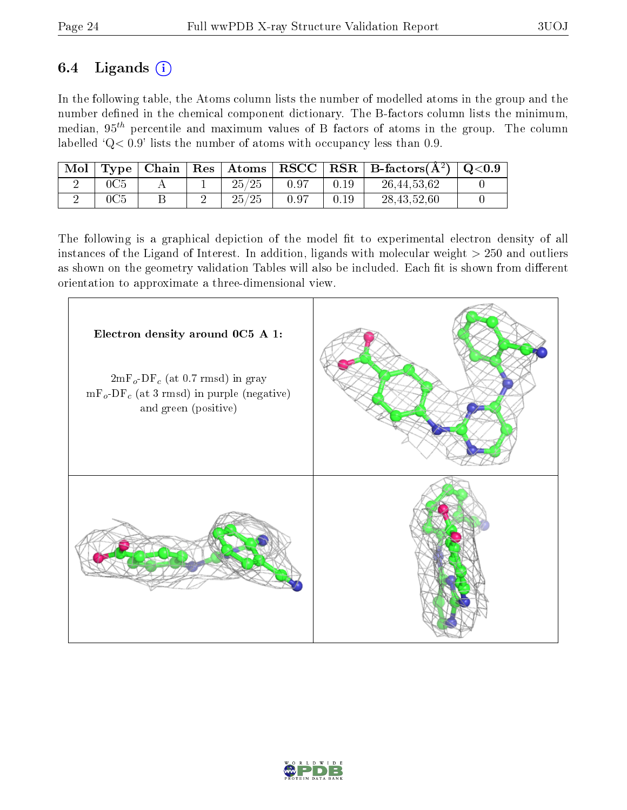## 6.4 Ligands  $(i)$

In the following table, the Atoms column lists the number of modelled atoms in the group and the number defined in the chemical component dictionary. The B-factors column lists the minimum, median,  $95<sup>th</sup>$  percentile and maximum values of B factors of atoms in the group. The column labelled  $Q < 0.9$ ' lists the number of atoms with occupancy less than 0.9.

| Mol | Type   Chain | $\mid$ Res $\mid$ Atoms $\mid$ | $ \text{ RSCC } $ | $\mid$ RSR $\mid$ B-factors( $\rm \AA^2)$ ) | $\mid \text{Q} {<} 0.9$ |
|-----|--------------|--------------------------------|-------------------|---------------------------------------------|-------------------------|
|     |              | 25/25                          | 0.97              | 26, 44, 53, 62                              |                         |
|     |              | 25/25                          | -0.97             | 28, 43, 52, 60                              |                         |

The following is a graphical depiction of the model fit to experimental electron density of all instances of the Ligand of Interest. In addition, ligands with molecular weight  $> 250$  and outliers as shown on the geometry validation Tables will also be included. Each fit is shown from different orientation to approximate a three-dimensional view.